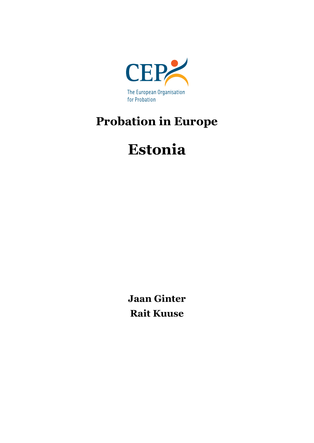

# **Probation in Europe**

# **Estonia**

**Jaan Ginter Rait Kuuse**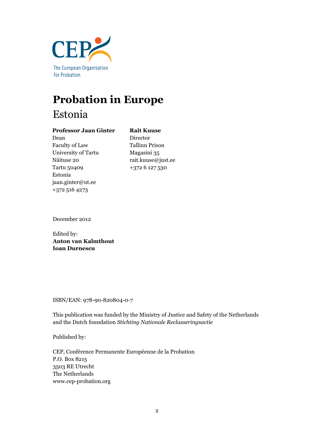

## **Probation in Europe** Estonia

#### **Professor Jaan Ginter**

Dean Faculty of Law University of Tartu Näituse 20 Tartu 50409 Estonia jaan.ginter@ut.ee +372 516 4273

**Rait Kuuse** Director Tallinn Prison Magasini 35 rait.kuuse@just.ee +372 6 127 530

December 2012

Edited by: **Anton van Kalmthout Ioan Durnescu**

ISBN/EAN: 978-90-820804-0-7

This publication was funded by the Ministry of Justice and Safety of the Netherlands and the Dutch foundation *Stichting Nationale Reclasseringsactie*

Published by:

CEP, Conférence Permanente Européenne de la Probation P.O. Box 8215 3503 RE Utrecht The Netherlands www.cep-probation.org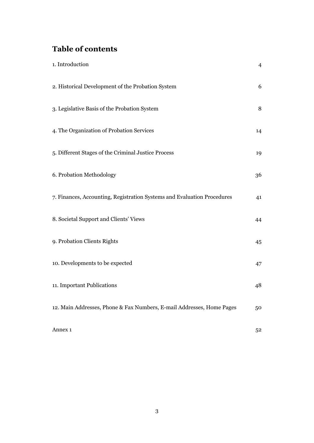## **Table of contents**

| 1. Introduction                                                         | $\overline{4}$ |
|-------------------------------------------------------------------------|----------------|
| 2. Historical Development of the Probation System                       | 6              |
| 3. Legislative Basis of the Probation System                            | 8              |
| 4. The Organization of Probation Services                               | 14             |
| 5. Different Stages of the Criminal Justice Process                     | 19             |
| 6. Probation Methodology                                                | 36             |
| 7. Finances, Accounting, Registration Systems and Evaluation Procedures | 41             |
| 8. Societal Support and Clients' Views                                  | 44             |
| 9. Probation Clients Rights                                             | 45             |
| 10. Developments to be expected                                         | 47             |
| 11. Important Publications                                              | 48             |
| 12. Main Addresses, Phone & Fax Numbers, E-mail Addresses, Home Pages   | 50             |
| Annex 1                                                                 | 52             |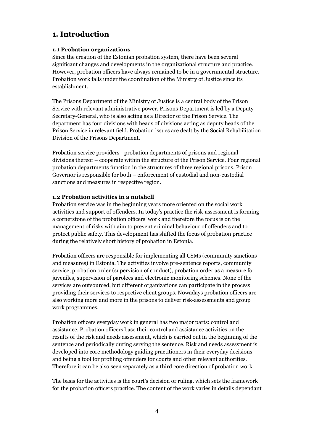## **1. Introduction**

#### **1.1 Probation organizations**

Since the creation of the Estonian probation system, there have been several significant changes and developments in the organizational structure and practice. However, probation officers have always remained to be in a governmental structure. Probation work falls under the coordination of the Ministry of Justice since its establishment.

The Prisons Department of the Ministry of Justice is a central body of the Prison Service with relevant administrative power. Prisons Department is led by a Deputy Secretary-General, who is also acting as a Director of the Prison Service. The department has four divisions with heads of divisions acting as deputy heads of the Prison Service in relevant field. Probation issues are dealt by the Social Rehabilitation Division of the Prisons Department.

Probation service providers - probation departments of prisons and regional divisions thereof – cooperate within the structure of the Prison Service. Four regional probation departments function in the structures of three regional prisons. Prison Governor is responsible for both – enforcement of custodial and non-custodial sanctions and measures in respective region.

#### **1.2 Probation activities in a nutshell**

Probation service was in the beginning years more oriented on the social work activities and support of offenders. In today's practice the risk-assessment is forming a cornerstone of the probation officers' work and therefore the focus is on the management of risks with aim to prevent criminal behaviour of offenders and to protect public safety. This development has shifted the focus of probation practice during the relatively short history of probation in Estonia.

Probation officers are responsible for implementing all CSMs (community sanctions and measures) in Estonia. The activities involve pre-sentence reports, community service, probation order (supervision of conduct), probation order as a measure for juveniles, supervision of parolees and electronic monitoring schemes. None of the services are outsourced, but different organizations can participate in the process providing their services to respective client groups. Nowadays probation officers are also working more and more in the prisons to deliver risk-assessments and group work programmes.

Probation officers everyday work in general has two major parts: control and assistance. Probation officers base their control and assistance activities on the results of the risk and needs assessment, which is carried out in the beginning of the sentence and periodically during serving the sentence. Risk and needs assessment is developed into core methodology guiding practitioners in their everyday decisions and being a tool for profiling offenders for courts and other relevant authorities. Therefore it can be also seen separately as a third core direction of probation work.

The basis for the activities is the court's decision or ruling, which sets the framework for the probation officers practice. The content of the work varies in details dependant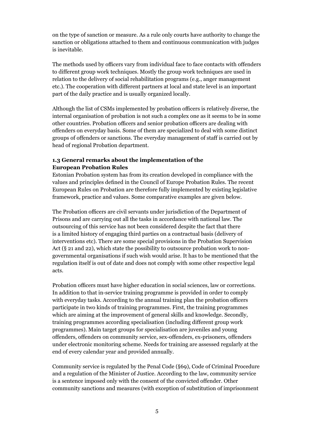on the type of sanction or measure. As a rule only courts have authority to change the sanction or obligations attached to them and continuous communication with judges is inevitable.

The methods used by officers vary from individual face to face contacts with offenders to different group work techniques. Mostly the group work techniques are used in relation to the delivery of social rehabilitation programs (e.g., anger management etc.). The cooperation with different partners at local and state level is an important part of the daily practice and is usually organized locally.

Although the list of CSMs implemented by probation officers is relatively diverse, the internal organisation of probation is not such a complex one as it seems to be in some other countries. Probation officers and senior probation officers are dealing with offenders on everyday basis. Some of them are specialized to deal with some distinct groups of offenders or sanctions. The everyday management of staff is carried out by head of regional Probation department.

#### **1.3 General remarks about the implementation of the European Probation Rules**

Estonian Probation system has from its creation developed in compliance with the values and principles defined in the Council of Europe Probation Rules. The recent European Rules on Probation are therefore fully implemented by existing legislative framework, practice and values. Some comparative examples are given below.

The Probation officers are civil servants under jurisdiction of the Department of Prisons and are carrying out all the tasks in accordance with national law. The outsourcing of this service has not been considered despite the fact that there is a limited history of engaging third parties on a contractual basis (delivery of interventions etc). There are some special provisions in the Probation Supervision Act (§ 21 and 22), which state the possibility to outsource probation work to nongovernmental organisations if such wish would arise. It has to be mentioned that the regulation itself is out of date and does not comply with some other respective legal acts.

Probation officers must have higher education in social sciences, law or corrections. In addition to that in-service training programme is provided in order to comply with everyday tasks. According to the annual training plan the probation officers participate in two kinds of training programmes. First, the training programmes which are aiming at the improvement of general skills and knowledge. Secondly, training programmes according specialisation (including different group work programmes). Main target groups for specialisation are juveniles and young offenders, offenders on community service, sex-offenders, ex-prisoners, offenders under electronic monitoring scheme. Needs for training are assessed regularly at the end of every calendar year and provided annually.

Community service is regulated by the Penal Code (§69), Code of Criminal Procedure and a regulation of the Minister of Justice. According to the law, community service is a sentence imposed only with the consent of the convicted offender. Other community sanctions and measures (with exception of substitution of imprisonment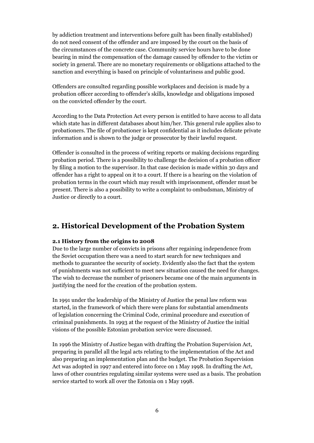by addiction treatment and interventions before guilt has been finally established) do not need consent of the offender and are imposed by the court on the basis of the circumstances of the concrete case. Community service hours have to be done bearing in mind the compensation of the damage caused by offender to the victim or society in general. There are no monetary requirements or obligations attached to the sanction and everything is based on principle of voluntariness and public good.

Offenders are consulted regarding possible workplaces and decision is made by a probation officer according to offender's skills, knowledge and obligations imposed on the convicted offender by the court.

According to the Data Protection Act every person is entitled to have access to all data which state has in different databases about him/her. This general rule applies also to probationers. The file of probationer is kept confidential as it includes delicate private information and is shown to the judge or prosecutor by their lawful request.

Offender is consulted in the process of writing reports or making decisions regarding probation period. There is a possibility to challenge the decision of a probation officer by filing a motion to the supervisor. In that case decision is made within 30 days and offender has a right to appeal on it to a court. If there is a hearing on the violation of probation terms in the court which may result with imprisonment, offender must be present. There is also a possibility to write a complaint to ombudsman, Ministry of Justice or directly to a court.

## **2. Historical Development of the Probation System**

#### **2.1 History from the origins to 2008**

Due to the large number of convicts in prisons after regaining independence from the Soviet occupation there was a need to start search for new techniques and methods to guarantee the security of society. Evidently also the fact that the system of punishments was not sufficient to meet new situation caused the need for changes. The wish to decrease the number of prisoners became one of the main arguments in justifying the need for the creation of the probation system.

In 1991 under the leadership of the Ministry of Justice the penal law reform was started, in the framework of which there were plans for substantial amendments of legislation concerning the Criminal Code, criminal procedure and execution of criminal punishments. In 1993 at the request of the Ministry of Justice the initial visions of the possible Estonian probation service were discussed.

In 1996 the Ministry of Justice began with drafting the Probation Supervision Act, preparing in parallel all the legal acts relating to the implementation of the Act and also preparing an implementation plan and the budget. The Probation Supervision Act was adopted in 1997 and entered into force on 1 May 1998. In drafting the Act, laws of other countries regulating similar systems were used as a basis. The probation service started to work all over the Estonia on 1 May 1998.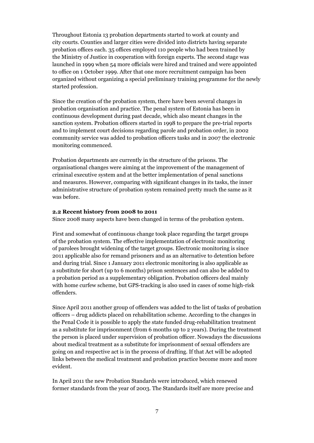Throughout Estonia 13 probation departments started to work at county and city courts. Counties and larger cities were divided into districts having separate probation offices each. 35 offices employed 110 people who had been trained by the Ministry of Justice in cooperation with foreign experts. The second stage was launched in 1999 when 54 more officials were hired and trained and were appointed to office on 1 October 1999. After that one more recruitment campaign has been organized without organizing a special preliminary training programme for the newly started profession.

Since the creation of the probation system, there have been several changes in probation organisation and practice. The penal system of Estonia has been in continuous development during past decade, which also meant changes in the sanction system. Probation officers started in 1998 to prepare the pre-trial reports and to implement court decisions regarding parole and probation order, in 2002 community service was added to probation officers tasks and in 2007 the electronic monitoring commenced.

Probation departments are currently in the structure of the prisons. The organisational changes were aiming at the improvement of the management of criminal executive system and at the better implementation of penal sanctions and measures. However, comparing with significant changes in its tasks, the inner administrative structure of probation system remained pretty much the same as it was before.

#### **2.2 Recent history from 2008 to 2011**

Since 2008 many aspects have been changed in terms of the probation system.

First and somewhat of continuous change took place regarding the target groups of the probation system. The effective implementation of electronic monitoring of parolees brought widening of the target groups. Electronic monitoring is since 2011 applicable also for remand prisoners and as an alternative to detention before and during trial. Since 1 January 2011 electronic monitoring is also applicable as a substitute for short (up to 6 months) prison sentences and can also be added to a probation period as a supplementary obligation. Probation officers deal mainly with home curfew scheme, but GPS-tracking is also used in cases of some high-risk offenders.

Since April 2011 another group of offenders was added to the list of tasks of probation officers – drug addicts placed on rehabilitation scheme. According to the changes in the Penal Code it is possible to apply the state funded drug-rehabilitation treatment as a substitute for imprisonment (from 6 months up to 2 years). During the treatment the person is placed under supervision of probation officer. Nowadays the discussions about medical treatment as a substitute for imprisonment of sexual offenders are going on and respective act is in the process of drafting. If that Act will be adopted links between the medical treatment and probation practice become more and more evident.

In April 2011 the new Probation Standards were introduced, which renewed former standards from the year of 2003. The Standards itself are more precise and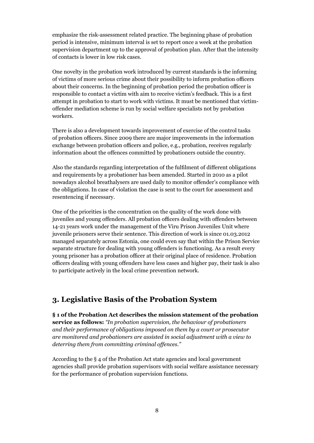emphasize the risk-assessment related practice. The beginning phase of probation period is intensive, minimum interval is set to report once a week at the probation supervision department up to the approval of probation plan. After that the intensity of contacts is lower in low risk cases.

One novelty in the probation work introduced by current standards is the informing of victims of more serious crime about their possibility to inform probation officers about their concerns. In the beginning of probation period the probation officer is responsible to contact a victim with aim to receive victim's feedback. This is a first attempt in probation to start to work with victims. It must be mentioned that victimoffender mediation scheme is run by social welfare specialists not by probation workers.

There is also a development towards improvement of exercise of the control tasks of probation officers. Since 2009 there are major improvements in the information exchange between probation officers and police, e.g., probation, receives regularly information about the offences committed by probationers outside the country.

Also the standards regarding interpretation of the fulfilment of different obligations and requirements by a probationer has been amended. Started in 2010 as a pilot nowadays alcohol breathalysers are used daily to monitor offender's compliance with the obligations. In case of violation the case is sent to the court for assessment and resentencing if necessary.

One of the priorities is the concentration on the quality of the work done with juveniles and young offenders. All probation officers dealing with offenders between 14-21 years work under the management of the Viru Prison Juveniles Unit where juvenile prisoners serve their sentence. This direction of work is since 01.03.2012 managed separately across Estonia, one could even say that within the Prison Service separate structure for dealing with young offenders is functioning. As a result every young prisoner has a probation officer at their original place of residence. Probation officers dealing with young offenders have less cases and higher pay, their task is also to participate actively in the local crime prevention network.

## **3. Legislative Basis of the Probation System**

**§ 1 of the Probation Act describes the mission statement of the probation service as follows:** *"In probation supervision, the behaviour of probationers and their performance of obligations imposed on them by a court or prosecutor are monitored and probationers are assisted in social adjustment with a view to deterring them from committing criminal offences."*

According to the § 4 of the Probation Act state agencies and local government agencies shall provide probation supervisors with social welfare assistance necessary for the performance of probation supervision functions.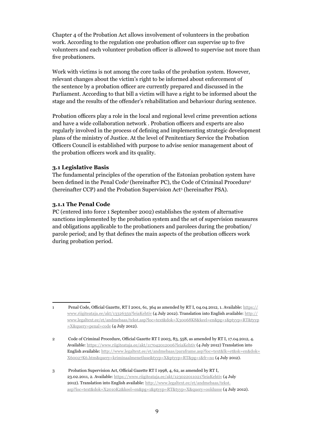Chapter 4 of the Probation Act allows involvement of volunteers in the probation work. According to the regulation one probation officer can supervise up to five volunteers and each volunteer probation officer is allowed to supervise not more than five probationers.

Work with victims is not among the core tasks of the probation system. However, relevant changes about the victim's right to be informed about enforcement of the sentence by a probation officer are currently prepared and discussed in the Parliament. According to that bill a victim will have a right to be informed about the stage and the results of the offender's rehabilitation and behaviour during sentence.

Probation officers play a role in the local and regional level crime prevention actions and have a wide collaboration network . Probation officers and experts are also regularly involved in the process of defining and implementing strategic development plans of the ministry of Justice. At the level of Penitentiary Service the Probation Officers Council is established with purpose to advise senior management about of the probation officers work and its quality.

#### **3.1 Legislative Basis**

The fundamental principles of the operation of the Estonian probation system have been defined in the Penal Code<sup>1</sup> (hereinafter PC), the Code of Criminal Procedure<sup>2</sup> (hereinafter CCP) and the Probation Supervision Act<sup>3</sup> (hereinafter PSA).

#### **3.1.1 The Penal Code**

PC (entered into force 1 September 2002) establishes the system of alternative sanctions implemented by the probation system and the set of supervision measures and obligations applicable to the probationers and parolees during the probation/ parole period; and by that defines the main aspects of the probation officers work during probation period.

<sup>1</sup> Penal Code, Official Gazette, RT I 2001, 61, 364 as amended by RT I, 04.04.2012, 1. Available: https:// www.riigiteataja.ee/akt/13326359?leiaKehtiv (4 July 2012). Translation into English available: http:// www.legaltext.ee/et/andmebaas/tekst.asp?loc=text&dok=X30068K8&keel=en&pg=1&ptyyp=RT&tyyp =X&query=penal+code (4 July 2012).

<sup>2</sup> Code of Criminal Procedure, Official Gazette RT I 2003, 83, 558, as amended by RT I, 17.04.2012, 4. Available: https://www.riigiteataja.ee/akt/117042012006?leiaKehtiv (4 July 2012) Translation into English available: http://www.legaltext.ee/et/andmebaas/paraframe.asp?loc=text&lk=et&sk=en&dok= X60027K6.htm&query=kriminaalmenetluse&tyyp=X&ptyyp=RT&pg=1&fr=no (4 July 2012).

<sup>3</sup> Probation Supervision Act, Official Gazette RT I 1998, 4, 62, as amended by RT I, 23.02.2011, 2. Available: https://www.riigiteataja.ee/akt/123022011021?leiaKehtiv (4 July 2012). Translation into English available: http://www.legaltext.ee/et/andmebaas/tekst. asp?loc=text&dok=X2010K2&keel=en&pg=1&ptyyp=RT&tyyp=X&query=ooldusse (4 July 2012).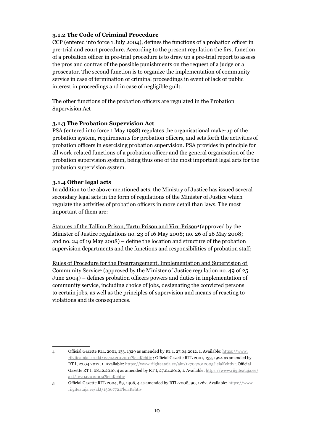#### **3.1.2 The Code of Criminal Procedure**

CCP (entered into force 1 July 2004), defines the functions of a probation officer in pre-trial and court procedure. According to the present regulation the first function of a probation officer in pre-trial procedure is to draw up a pre-trial report to assess the pros and contras of the possible punishments on the request of a judge or a prosecutor. The second function is to organize the implementation of community service in case of termination of criminal proceedings in event of lack of public interest in proceedings and in case of negligible guilt.

The other functions of the probation officers are regulated in the Probation Supervision Act

#### **3.1.3 The Probation Supervision Act**

PSA (entered into force 1 May 1998) regulates the organisational make-up of the probation system, requirements for probation officers, and sets forth the activities of probation officers in exercising probation supervision. PSA provides in principle for all work-related functions of a probation officer and the general organisation of the probation supervision system, being thus one of the most important legal acts for the probation supervision system.

#### **3.1.4 Other legal acts**

In addition to the above-mentioned acts, the Ministry of Justice has issued several secondary legal acts in the form of regulations of the Minister of Justice which regulate the activities of probation officers in more detail than laws. The most important of them are:

Statutes of the Tallinn Prison, Tartu Prison and Viru Prison<sup>4</sup> (approved by the Minister of Justice regulations no. 23 of 16 May 2008; no. 26 of 26 May 2008; and no. 24 of 19 May 2008) – define the location and structure of the probation supervision departments and the functions and responsibilities of probation staff;

Rules of Procedure for the Prearrangement, Implementation and Supervision of Community Service<sup>5</sup> (approved by the Minister of Justice regulation no. 49 of 25 June 2004) – defines probation officers powers and duties in implementation of community service, including choice of jobs, designating the convicted persons to certain jobs, as well as the principles of supervision and means of reacting to violations and its consequences.

<sup>4</sup> Official Gazette RTL 2001, 133, 1929 as amended by RT I, 27.04.2012, 1. Available: https://www. riigiteataja.ee/akt/127042012007?leiaKehtiv ; Official Gazette RTL 2001, 133, 1924 as amended by RT I, 27.04.2012, 1. Available: https://www.riigiteataja.ee/akt/127042012005?leiaKehtiv ; Official Gazette RT I, 08.12.2010, 4 as amended by RT I, 27.04.2012, 1. Available: https://www.riigiteataja.ee/ akt/127042012009?leiaKehtiv

<sup>5</sup> Official Gazette RTL 2004, 89, 1406, 4 as amended by RTL 2008, 90, 1262. Available: https://www. riigiteataja.ee/akt/13067721?leiaKehtiv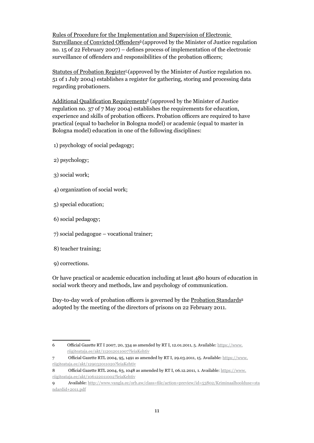Rules of Procedure for the Implementation and Supervision of Electronic Surveillance of Convicted Offenders<sup>6</sup> (approved by the Minister of Justice regulation no. 15 of 22 February 2007) – defines process of implementation of the electronic surveillance of offenders and responsibilities of the probation officers;

Statutes of Probation Register<sup> $7$ </sup> (approved by the Minister of Justice regulation no. 51 of 1 July 2004) establishes a register for gathering, storing and processing data regarding probationers.

Additional Qualification Requirements<sup>8</sup> (approved by the Minister of Justice regulation no. 37 of 7 May 2004) establishes the requirements for education, experience and skills of probation officers. Probation officers are required to have practical (equal to bachelor in Bologna model) or academic (equal to master in Bologna model) education in one of the following disciplines:

- 1) psychology of social pedagogy;
- 2) psychology;
- 3) social work;
- 4) organization of social work;
- 5) special education;
- 6) social pedagogy;
- 7) social pedagogue vocational trainer;
- 8) teacher training;
- 9) corrections.

Or have practical or academic education including at least 480 hours of education in social work theory and methods, law and psychology of communication.

Day-to-day work of probation officers is governed by the Probation Standards<sup>9</sup> adopted by the meeting of the directors of prisons on 22 February 2011.

<sup>6</sup> Official Gazette RT I 2007, 20, 334 as amended by RT I, 12.01.2011, 5. Available: https://www. riigiteataja.ee/akt/112012011007?leiaKehtiv

<sup>7</sup> Official Gazette RTL 2004, 95, 1491 as amended by RT I, 29.03.2011, 15. Available: https://www. riigiteataja.ee/akt/129032011020?leiaKehtiv

<sup>8</sup> Official Gazette RTL 2004, 63, 1048 as amended by RT I, 06.12.2011, 1. Available: https://www. riigiteataja.ee/akt/106122011002?leiaKehtiv

<sup>9</sup> Available: http://www.vangla.ee/orb.aw/class=file/action=preview/id=53802/Kriminaalhoolduse+sta ndardid+2011.pdf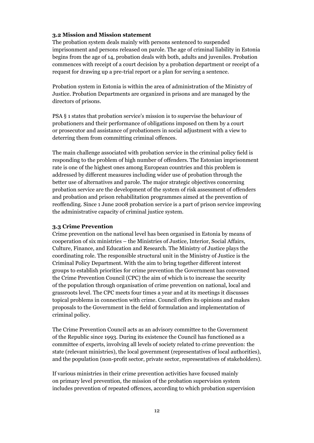#### **3.2 Mission and Mission statement**

The probation system deals mainly with persons sentenced to suspended imprisonment and persons released on parole. The age of criminal liability in Estonia begins from the age of 14, probation deals with both, adults and juveniles. Probation commences with receipt of a court decision by a probation department or receipt of a request for drawing up a pre-trial report or a plan for serving a sentence.

Probation system in Estonia is within the area of administration of the Ministry of Justice. Probation Departments are organized in prisons and are managed by the directors of prisons.

PSA § 1 states that probation service's mission is to supervise the behaviour of probationers and their performance of obligations imposed on them by a court or prosecutor and assistance of probationers in social adjustment with a view to deterring them from committing criminal offences.

The main challenge associated with probation service in the criminal policy field is responding to the problem of high number of offenders. The Estonian imprisonment rate is one of the highest ones among European countries and this problem is addressed by different measures including wider use of probation through the better use of alternatives and parole. The major strategic objectives concerning probation service are the development of the system of risk assessment of offenders and probation and prison rehabilitation programmes aimed at the prevention of reoffending. Since 1 June 2008 probation service is a part of prison service improving the administrative capacity of criminal justice system.

#### **3.3 Crime Prevention**

Crime prevention on the national level has been organised in Estonia by means of cooperation of six ministries – the Ministries of Justice, Interior, Social Affairs, Culture, Finance, and Education and Research. The Ministry of Justice plays the coordinating role. The responsible structural unit in the Ministry of Justice is the Criminal Policy Department. With the aim to bring together different interest groups to establish priorities for crime prevention the Government has convened the Crime Prevention Council (CPC) the aim of which is to increase the security of the population through organisation of crime prevention on national, local and grassroots level. The CPC meets four times a year and at its meetings it discusses topical problems in connection with crime. Council offers its opinions and makes proposals to the Government in the field of formulation and implementation of criminal policy.

The Crime Prevention Council acts as an advisory committee to the Government of the Republic since 1993. During its existence the Council has functioned as a committee of experts, involving all levels of society related to crime prevention: the state (relevant ministries), the local government (representatives of local authorities), and the population (non-profit sector, private sector, representatives of stakeholders).

If various ministries in their crime prevention activities have focused mainly on primary level prevention, the mission of the probation supervision system includes prevention of repeated offences, according to which probation supervision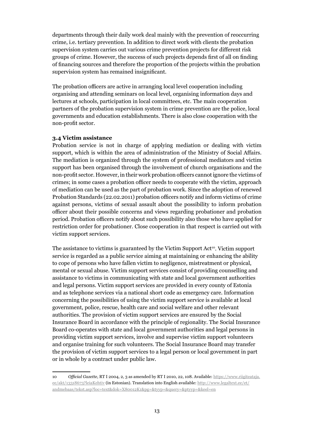departments through their daily work deal mainly with the prevention of reoccurring crime, i.e. tertiary prevention. In addition to direct work with clients the probation supervision system carries out various crime prevention projects for different risk groups of crime. However, the success of such projects depends first of all on finding of financing sources and therefore the proportion of the projects within the probation supervision system has remained insignificant.

The probation officers are active in arranging local level cooperation including organising and attending seminars on local level, organising information days and lectures at schools, participation in local committees, etc. The main cooperation partners of the probation supervision system in crime prevention are the police, local governments and education establishments. There is also close cooperation with the non-profit sector.

#### **3.4 Victim assistance**

Probation service is not in charge of applying mediation or dealing with victim support, which is within the area of administration of the Ministry of Social Affairs. The mediation is organized through the system of professional mediators and victim support has been organised through the involvement of church organisations and the non-profit sector. However, in their work probation officers cannot ignore the victims of crimes; in some cases a probation officer needs to cooperate with the victim, approach of mediation can be used as the part of probation work. Since the adoption of renewed Probation Standards (22.02.2011) probation officers notify and inform victims of crime against persons, victims of sexual assault about the possibility to inform probation officer about their possible concerns and views regarding probationer and probation period. Probation officers notify about such possibility also those who have applied for restriction order for probationer. Close cooperation in that respect is carried out with victim support services.

The assistance to victims is guaranteed by the Victim Support  $Act^{10}$ . Victim support service is regarded as a public service aiming at maintaining or enhancing the ability to cope of persons who have fallen victim to negligence, mistreatment or physical, mental or sexual abuse. Victim support services consist of providing counselling and assistance to victims in communicating with state and local government authorities and legal persons. Victim support services are provided in every county of Estonia and as telephone services via a national short code as emergency care. Information concerning the possibilities of using the victim support service is available at local government, police, rescue, health care and social welfare and other relevant authorities. The provision of victim support services are ensured by the Social Insurance Board in accordance with the principle of regionality. The Social Insurance Board co-operates with state and local government authorities and legal persons in providing victim support services, involve and supervise victim support volunteers and organise training for such volunteers. The Social Insurance Board may transfer the provision of victim support services to a legal person or local government in part or in whole by a contract under public law.

<sup>10</sup> *Official Gazette*, RT I 2004, 2, 3 as amended by RT I 2010, 22, 108. Available: https://www.riigiteataja. ee/akt/13318673?leiaKehtiv (in Estonian). Translation into English available: http://www.legaltext.ee/et/ andmebaas/tekst.asp?loc=text&dok=X80012K1&pg=&tyyp=&query=&ptyyp=&keel=en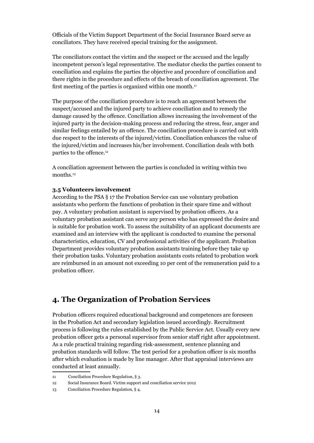Officials of the Victim Support Department of the Social Insurance Board serve as conciliators. They have received special training for the assignment.

The conciliators contact the victim and the suspect or the accused and the legally incompetent person's legal representative. The mediator checks the parties consent to conciliation and explains the parties the objective and procedure of conciliation and there rights in the procedure and effects of the breach of conciliation agreement. The first meeting of the parties is organized within one month. $11$ 

The purpose of the conciliation procedure is to reach an agreement between the suspect/accused and the injured party to achieve conciliation and to remedy the damage caused by the offence. Conciliation allows increasing the involvement of the injured party in the decision-making process and reducing the stress, fear, anger and similar feelings entailed by an offence. The conciliation procedure is carried out with due respect to the interests of the injured/victim. Conciliation enhances the value of the injured/victim and increases his/her involvement. Conciliation deals with both parties to the offence.<sup>12</sup>

A conciliation agreement between the parties is concluded in writing within two months.<sup>13</sup>

#### **3.5 Volunteers involvement**

According to the PSA § 17 the Probation Service can use voluntary probation assistants who perform the functions of probation in their spare time and without pay. A voluntary probation assistant is supervised by probation officers. As a voluntary probation assistant can serve any person who has expressed the desire and is suitable for probation work. To assess the suitability of an applicant documents are examined and an interview with the applicant is conducted to examine the personal characteristics, education, CV and professional activities of the applicant. Probation Department provides voluntary probation assistants training before they take up their probation tasks. Voluntary probation assistants costs related to probation work are reimbursed in an amount not exceeding 10 per cent of the remuneration paid to a probation officer.

## **4. The Organization of Probation Services**

Probation officers required educational background and competences are foreseen in the Probation Act and secondary legislation issued accordingly. Recruitment process is following the rules established by the Public Service Act. Usually every new probation officer gets a personal supervisor from senior staff right after appointment. As a rule practical training regarding risk-assessment, sentence planning and probation standards will follow. The test period for a probation officer is six months after which evaluation is made by line manager. After that appraisal interviews are conducted at least annually.

<sup>11</sup> Conciliation Procedure Regulation, § 3.

<sup>12</sup> Social Insurance Board. Victim support and conciliation service 2012

<sup>13</sup> Conciliation Procedure Regulation, § 4.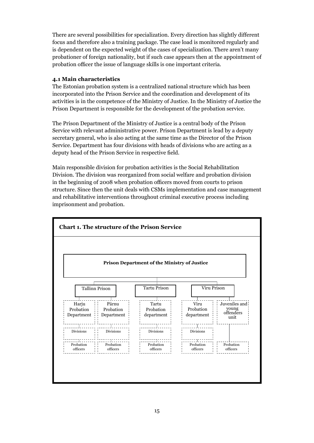There are several possibilities for specialization. Every direction has slightly different focus and therefore also a training package. The case load is monitored regularly and is dependent on the expected weight of the cases of specialization. There aren't many probationer of foreign nationality, but if such case appears then at the appointment of probation officer the issue of language skills is one important criteria.

#### **4.1 Main characteristics**

The Estonian probation system is a centralized national structure which has been incorporated into the Prison Service and the coordination and development of its activities is in the competence of the Ministry of Justice. In the Ministry of Justice the Prison Department is responsible for the development of the probation service.

The Prison Department of the Ministry of Justice is a central body of the Prison Service with relevant administrative power. Prison Department is lead by a deputy secretary general, who is also acting at the same time as the Director of the Prison Service. Department has four divisions with heads of divisions who are acting as a deputy head of the Prison Service in respective field.

Main responsible division for probation activities is the Social Rehabilitation Division. The division was reorganized from social welfare and probation division in the beginning of 2008 when probation officers moved from courts to prison structure. Since then the unit deals with CSMs implementation and case management and rehabilitative interventions throughout criminal executive process including imprisonment and probation.

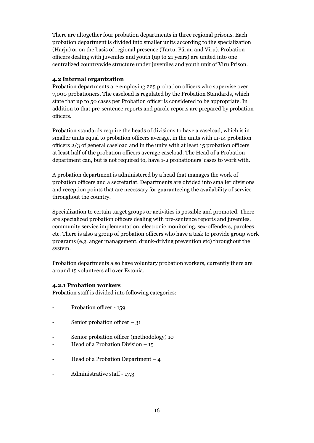There are altogether four probation departments in three regional prisons. Each probation department is divided into smaller units according to the specialization (Harju) or on the basis of regional presence (Tartu, Pärnu and Viru). Probation officers dealing with juveniles and youth (up to 21 years) are united into one centralized countrywide structure under juveniles and youth unit of Viru Prison.

#### **4.2 Internal organization**

Probation departments are employing 225 probation officers who supervise over 7,000 probationers. The caseload is regulated by the Probation Standards, which state that up to 50 cases per Probation officer is considered to be appropriate. In addition to that pre-sentence reports and parole reports are prepared by probation officers.

Probation standards require the heads of divisions to have a caseload, which is in smaller units equal to probation officers average, in the units with 11-14 probation officers 2/3 of general caseload and in the units with at least 15 probation officers at least half of the probation officers average caseload. The Head of a Probation department can, but is not required to, have 1-2 probationers' cases to work with.

A probation department is administered by a head that manages the work of probation officers and a secretariat. Departments are divided into smaller divisions and reception points that are necessary for guaranteeing the availability of service throughout the country.

Specialization to certain target groups or activities is possible and promoted. There are specialized probation officers dealing with pre-sentence reports and juveniles, community service implementation, electronic monitoring, sex-offenders, parolees etc. There is also a group of probation officers who have a task to provide group work programs (e.g. anger management, drunk-driving prevention etc) throughout the system.

Probation departments also have voluntary probation workers, currently there are around 15 volunteers all over Estonia.

#### **4.2.1 Probation workers**

Probation staff is divided into following categories:

- Probation officer 159
- Senior probation officer  $-31$
- Senior probation officer (methodology) 10
- Head of a Probation Division 15
- Head of a Probation Department 4
- Administrative staff 17,3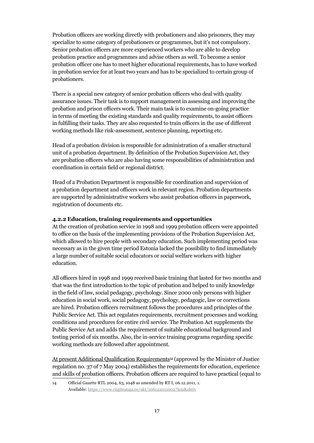Probation officers are working directly with probationers and also prisoners, they may specialize to some category of probationers or programmes, but it's not compulsory. Senior probation officers are more experienced workers who are able to develop probation practice and programmes and advise others as well. To become a senior probation officer one has to meet higher educational requirements, has to have worked in probation service for at least two years and has to be specialized to certain group of probationers.

There is a special new category of senior probation officers who deal with quality assurance issues. Their task is to support management in assessing and improving the probation and prison officers work. Their main task is to examine on-going practice in terms of meeting the existing standards and quality requirements, to assist officers in fulfilling their tasks. They are also requested to train officers in the use of different working methods like risk-assessment, sentence planning, reporting etc.

Head of a probation division is responsible for administration of a smaller structural unit of a probation department. By definition of the Probation Supervision Act, they are probation officers who are also having some responsibilities of administration and coordination in certain field or regional district.

Head of a Probation Department is responsible for coordination and supervision of a probation department and officers work in relevant region. Probation departments are supported by administrative workers who assist probation officers in paperwork, registration of documents etc.

#### **4.2.2 Education, training requirements and opportunities**

At the creation of probation service in 1998 and 1999 probation officers were appointed to office on the basis of the implementing provisions of the Probation Supervision Act, which allowed to hire people with secondary education. Such implementing period was necessary as in the given time period Estonia lacked the possibility to find immediately a large number of suitable social educators or social welfare workers with higher education.

All officers hired in 1998 and 1999 received basic training that lasted for two months and that was the first introduction to the topic of probation and helped to unify knowledge in the field of law, social pedagogy, psychology. Since 2000 only persons with higher education in social work, social pedagogy, psychology, pedagogic, law or corrections are hired. Probation officers recruitment follows the procedures and principles of the Public Service Act. This act regulates requirements, recruitment processes and working conditions and procedures for entire civil service. The Probation Act supplements the Public Service Act and adds the requirement of suitable educational background and testing period of six months. Also, the in-service training programs regarding specific working methods are followed after appointment.

At present Additional Qualification Requirements<sup>14</sup> (approved by the Minister of Justice regulation no. 37 of 7 May 2004) establishes the requirements for education, experience and skills of probation officers. Probation officers are required to have practical (equal to

<sup>14</sup> Official Gazette RTL 2004, 63, 1048 as amended by RT I, 06.12.2011, 1. Available: https://www.riigiteataja.ee/akt/106122011002?leiaKehtiv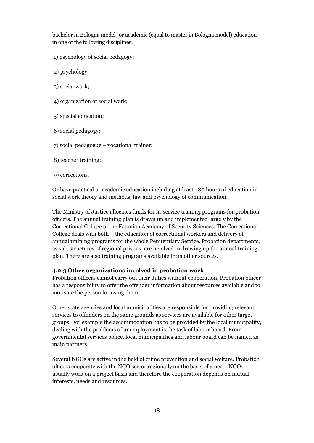bachelor in Bologna model) or academic (equal to master in Bologna model) education in one of the following disciplines:

- 1) psychology of social pedagogy;
- 2) psychology;
- 3) social work;
- 4) organization of social work;
- 5) special education;
- 6) social pedagogy;
- 7) social pedagogue vocational trainer;
- 8) teacher training;
- 9) corrections.

Or have practical or academic education including at least 480 hours of education in social work theory and methods, law and psychology of communication.

The Ministry of Justice allocates funds for in-service training programs for probation officers. The annual training plan is drawn up and implemented largely by the Correctional College of the Estonian Academy of Security Sciences. The Correctional College deals with both – the education of correctional workers and delivery of annual training programs for the whole Penitentiary Service. Probation departments, as sub-structures of regional prisons, are involved in drawing up the annual training plan. There are also training programs available from other sources.

#### **4.2.3 Other organizations involved in probation work**

Probation officers cannot carry out their duties without cooperation. Probation officer has a responsibility to offer the offender information about resources available and to motivate the person for using them.

Other state agencies and local municipalities are responsible for providing relevant services to offenders on the same grounds as services are available for other target groups. For example the accommodation has to be provided by the local municipality, dealing with the problems of unemployment is the task of labour board. From governmental services police, local municipalities and labour board can be named as main partners.

Several NGOs are active in the field of crime prevention and social welfare. Probation officers cooperate with the NGO sector regionally on the basis of a need. NGOs usually work on a project basis and therefore the cooperation depends on mutual interests, needs and resources.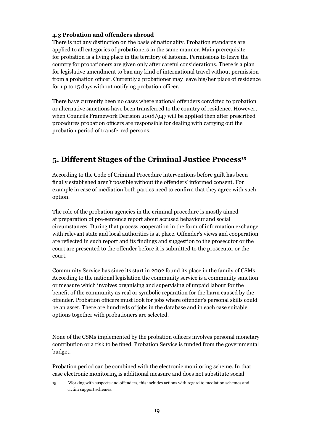#### **4.3 Probation and offenders abroad**

There is not any distinction on the basis of nationality. Probation standards are applied to all categories of probationers in the same manner. Main prerequisite for probation is a living place in the territory of Estonia. Permissions to leave the country for probationers are given only after careful considerations. There is a plan for legislative amendment to ban any kind of international travel without permission from a probation officer. Currently a probationer may leave his/her place of residence for up to 15 days without notifying probation officer.

There have currently been no cases where national offenders convicted to probation or alternative sanctions have been transferred to the country of residence. However, when Councils Framework Decision 2008/947 will be applied then after prescribed procedures probation officers are responsible for dealing with carrying out the probation period of transferred persons.

## **5. Different Stages of the Criminal Justice Process<sup>15</sup>**

According to the Code of Criminal Procedure interventions before guilt has been finally established aren't possible without the offenders' informed consent. For example in case of mediation both parties need to confirm that they agree with such option.

The role of the probation agencies in the criminal procedure is mostly aimed at preparation of pre-sentence report about accused behaviour and social circumstances. During that process cooperation in the form of information exchange with relevant state and local authorities is at place. Offender's views and cooperation are reflected in such report and its findings and suggestion to the prosecutor or the court are presented to the offender before it is submitted to the prosecutor or the court.

Community Service has since its start in 2002 found its place in the family of CSMs. According to the national legislation the community service is a community sanction or measure which involves organising and supervising of unpaid labour for the benefit of the community as real or symbolic reparation for the harm caused by the offender. Probation officers must look for jobs where offender's personal skills could be an asset. There are hundreds of jobs in the database and in each case suitable options together with probationers are selected.

None of the CSMs implemented by the probation officers involves personal monetary contribution or a risk to be fined. Probation Service is funded from the governmental budget.

Probation period can be combined with the electronic monitoring scheme. In that case electronic monitoring is additional measure and does not substitute social

<sup>15</sup> Working with suspects and offenders, this includes actions with regard to mediation schemes and victim support schemes.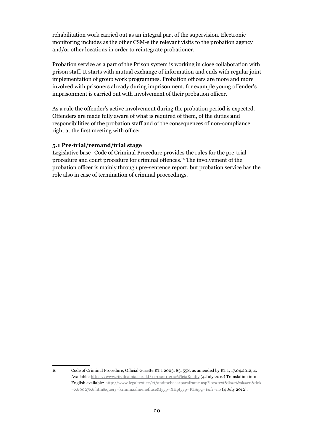rehabilitation work carried out as an integral part of the supervision. Electronic monitoring includes as the other CSM-s the relevant visits to the probation agency and/or other locations in order to reintegrate probationer.

Probation service as a part of the Prison system is working in close collaboration with prison staff. It starts with mutual exchange of information and ends with regular joint implementation of group work programmes. Probation officers are more and more involved with prisoners already during imprisonment, for example young offender's imprisonment is carried out with involvement of their probation officer.

As a rule the offender's active involvement during the probation period is expected. Offenders are made fully aware of what is required of them, of the duties **a**nd responsibilities of the probation staff and of the consequences of non-compliance right at the first meeting with officer.

#### **5.1 Pre-trial/remand/trial stage**

Legislative base–Code of Criminal Procedure provides the rules for the pre-trial procedure and court procedure for criminal offences.16 The involvement of the probation officer is mainly through pre-sentence report, but probation service has the role also in case of termination of criminal proceedings.

<sup>16</sup> Code of Criminal Procedure, Official Gazette RT I 2003, 83, 558, as amended by RT I, 17.04.2012, 4. Available: https://www.riigiteataja.ee/akt/117042012006?leiaKehtiv (4 July 2012) Translation into English available: http://www.legaltext.ee/et/andmebaas/paraframe.asp?loc=text&lk=et&sk=en&dok =X60027K6.htm&query=kriminaalmenetluse&tyyp=X&ptyyp=RT&pg=1&fr=no (4 July 2012).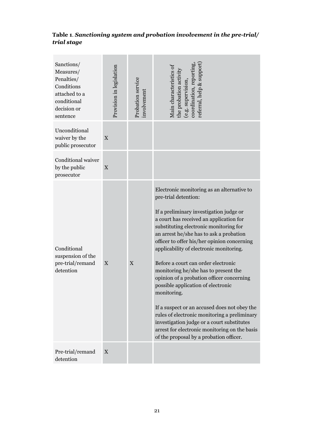## **Table 1***. Sanctioning system and probation involvement in the pre-trial/ trial stage*

| Sanctions/<br>Measures/<br>Penalties/<br>Conditions<br>attached to a<br>conditional<br>decision or<br>sentence | Provision in legislation | Probation service<br>involvement | referral, help & support<br>Main characteristics of<br>he probation activit<br>coordination, repor<br>e.g. supervision                                                                                                                                                                                                                                                                                                                                                                                                                                                                                                                                                                                                                                             |
|----------------------------------------------------------------------------------------------------------------|--------------------------|----------------------------------|--------------------------------------------------------------------------------------------------------------------------------------------------------------------------------------------------------------------------------------------------------------------------------------------------------------------------------------------------------------------------------------------------------------------------------------------------------------------------------------------------------------------------------------------------------------------------------------------------------------------------------------------------------------------------------------------------------------------------------------------------------------------|
| Unconditional<br>waiver by the<br>public prosecutor                                                            | X                        |                                  |                                                                                                                                                                                                                                                                                                                                                                                                                                                                                                                                                                                                                                                                                                                                                                    |
| Conditional waiver<br>by the public<br>prosecutor                                                              | $\mathbf X$              |                                  |                                                                                                                                                                                                                                                                                                                                                                                                                                                                                                                                                                                                                                                                                                                                                                    |
| Conditional<br>suspension of the<br>pre-trial/remand<br>detention                                              | $\mathbf X$              | X                                | Electronic monitoring as an alternative to<br>pre-trial detention:<br>If a preliminary investigation judge or<br>a court has received an application for<br>substituting electronic monitoring for<br>an arrest he/she has to ask a probation<br>officer to offer his/her opinion concerning<br>applicability of electronic monitoring.<br>Before a court can order electronic<br>monitoring he/she has to present the<br>opinion of a probation officer concerning<br>possible application of electronic<br>monitoring.<br>If a suspect or an accused does not obey the<br>rules of electronic monitoring a preliminary<br>investigation judge or a court substitutes<br>arrest for electronic monitoring on the basis<br>of the proposal by a probation officer. |
| Pre-trial/remand<br>detention                                                                                  | X                        |                                  |                                                                                                                                                                                                                                                                                                                                                                                                                                                                                                                                                                                                                                                                                                                                                                    |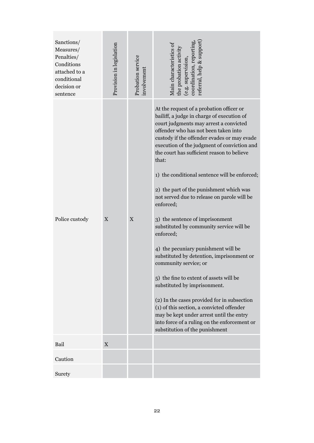| Sanctions/<br>Measures/<br>Penalties/<br>Conditions<br>attached to a<br>conditional<br>decision or<br>sentence | Provision in legislation | Probation service<br>involvement | referral, help & support<br>Main characteristics of<br>the probation activity<br>coordination, repor<br>(e.g. supervision                                                                                                                                                                                                                                                                                                                                                                                                                                                                                                                                                                                                                                                                                                                                                                                                                                                                           |
|----------------------------------------------------------------------------------------------------------------|--------------------------|----------------------------------|-----------------------------------------------------------------------------------------------------------------------------------------------------------------------------------------------------------------------------------------------------------------------------------------------------------------------------------------------------------------------------------------------------------------------------------------------------------------------------------------------------------------------------------------------------------------------------------------------------------------------------------------------------------------------------------------------------------------------------------------------------------------------------------------------------------------------------------------------------------------------------------------------------------------------------------------------------------------------------------------------------|
| Police custody                                                                                                 | X                        | $\mathbf X$                      | At the request of a probation officer or<br>bailiff, a judge in charge of execution of<br>court judgments may arrest a convicted<br>offender who has not been taken into<br>custody if the offender evades or may evade<br>execution of the judgment of conviction and<br>the court has sufficient reason to believe<br>that:<br>1) the conditional sentence will be enforced;<br>2) the part of the punishment which was<br>not served due to release on parole will be<br>enforced;<br>3) the sentence of imprisonment<br>substituted by community service will be<br>enforced;<br>4) the pecuniary punishment will be<br>substituted by detention, imprisonment or<br>community service; or<br>5) the fine to extent of assets will be<br>substituted by imprisonment.<br>(2) In the cases provided for in subsection<br>(1) of this section, a convicted offender<br>may be kept under arrest until the entry<br>into force of a ruling on the enforcement or<br>substitution of the punishment |
| Bail                                                                                                           | $\mathbf{X}$             |                                  |                                                                                                                                                                                                                                                                                                                                                                                                                                                                                                                                                                                                                                                                                                                                                                                                                                                                                                                                                                                                     |
| Caution                                                                                                        |                          |                                  |                                                                                                                                                                                                                                                                                                                                                                                                                                                                                                                                                                                                                                                                                                                                                                                                                                                                                                                                                                                                     |
| Surety                                                                                                         |                          |                                  |                                                                                                                                                                                                                                                                                                                                                                                                                                                                                                                                                                                                                                                                                                                                                                                                                                                                                                                                                                                                     |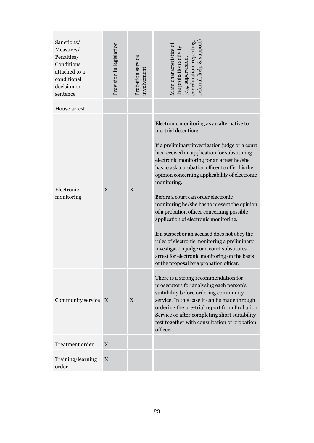| Sanctions/<br>Measures/<br>Penalties/<br>Conditions<br>attached to a<br>conditional<br>decision or<br>sentence | Provision in legislation | Probation service<br>involvement | referral, help & support<br>Main characteristics of<br>the probation activity<br>coordination, report<br>(e.g. supervision                                                                                                                                                                                                                                                                                                                                                                                                                                                                                                                                                                                                                                      |
|----------------------------------------------------------------------------------------------------------------|--------------------------|----------------------------------|-----------------------------------------------------------------------------------------------------------------------------------------------------------------------------------------------------------------------------------------------------------------------------------------------------------------------------------------------------------------------------------------------------------------------------------------------------------------------------------------------------------------------------------------------------------------------------------------------------------------------------------------------------------------------------------------------------------------------------------------------------------------|
| House arrest                                                                                                   |                          |                                  |                                                                                                                                                                                                                                                                                                                                                                                                                                                                                                                                                                                                                                                                                                                                                                 |
| Electronic<br>monitoring                                                                                       | X                        | $\mathbf X$                      | Electronic monitoring as an alternative to<br>pre-trial detention:<br>If a preliminary investigation judge or a court<br>has received an application for substituting<br>electronic monitoring for an arrest he/she<br>has to ask a probation officer to offer his/her<br>opinion concerning applicability of electronic<br>monitoring.<br>Before a court can order electronic<br>monitoring he/she has to present the opinion<br>of a probation officer concerning possible<br>application of electronic monitoring.<br>If a suspect or an accused does not obey the<br>rules of electronic monitoring a preliminary<br>investigation judge or a court substitutes<br>arrest for electronic monitoring on the basis<br>of the proposal by a probation officer. |
| Community service                                                                                              | $\mathbf{X}$             | X                                | There is a strong recommendation for<br>prosecutors for analysing each person's<br>suitability before ordering community<br>service. In this case it can be made through<br>ordering the pre-trial report from Probation<br>Service or after completing short suitability<br>test together with consultation of probation<br>officer.                                                                                                                                                                                                                                                                                                                                                                                                                           |
| <b>Treatment</b> order                                                                                         | $\mathbf{X}$             |                                  |                                                                                                                                                                                                                                                                                                                                                                                                                                                                                                                                                                                                                                                                                                                                                                 |
| Training/learning<br>order                                                                                     | X                        |                                  |                                                                                                                                                                                                                                                                                                                                                                                                                                                                                                                                                                                                                                                                                                                                                                 |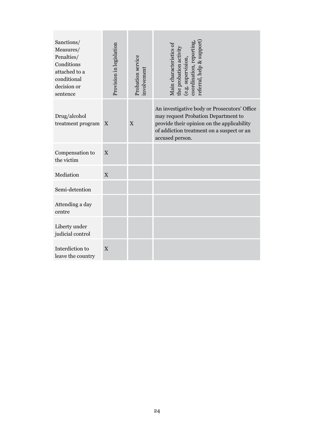| Sanctions/<br>Measures/<br>Penalties/<br>Conditions<br>attached to a<br>conditional<br>decision or<br>sentence | Provision in legislation  | Probation service<br>involvement | referral, help & support<br>Main characteristics of<br>the probation activity<br>coordination, report<br>(e.g. supervision,                                                                       |
|----------------------------------------------------------------------------------------------------------------|---------------------------|----------------------------------|---------------------------------------------------------------------------------------------------------------------------------------------------------------------------------------------------|
| Drug/alcohol<br>treatment program                                                                              | X                         | X                                | An investigative body or Prosecutors' Office<br>may request Probation Department to<br>provide their opinion on the applicability<br>of addiction treatment on a suspect or an<br>accused person. |
| Compensation to<br>the victim                                                                                  | X                         |                                  |                                                                                                                                                                                                   |
| Mediation                                                                                                      | $\mathbf X$               |                                  |                                                                                                                                                                                                   |
| Semi-detention                                                                                                 |                           |                                  |                                                                                                                                                                                                   |
| Attending a day<br>centre                                                                                      |                           |                                  |                                                                                                                                                                                                   |
| Liberty under<br>judicial control                                                                              |                           |                                  |                                                                                                                                                                                                   |
| Interdiction to<br>leave the country                                                                           | $\boldsymbol{\mathrm{X}}$ |                                  |                                                                                                                                                                                                   |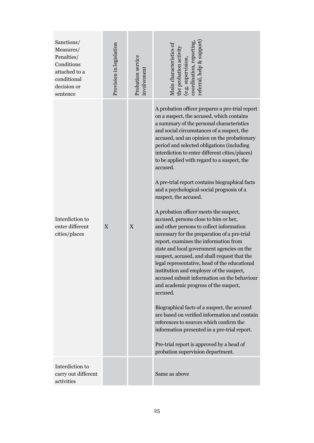| Sanctions/<br>Measures/<br>Penalties/<br>Conditions<br>attached to a<br>conditional<br>decision or<br>sentence | Provision in legislation | Probation service<br>involvement | referral, help & support<br>Main characteristics of<br>coordination, reporting<br>the probation activit:<br>e.g. supervision                                                                                                                                                                                                                                                                                                                                                                                                                                                                                                                                                                                                                                                                                                                                                                                                                                                                                                                                                                                                                                                                                                                                                                                                   |
|----------------------------------------------------------------------------------------------------------------|--------------------------|----------------------------------|--------------------------------------------------------------------------------------------------------------------------------------------------------------------------------------------------------------------------------------------------------------------------------------------------------------------------------------------------------------------------------------------------------------------------------------------------------------------------------------------------------------------------------------------------------------------------------------------------------------------------------------------------------------------------------------------------------------------------------------------------------------------------------------------------------------------------------------------------------------------------------------------------------------------------------------------------------------------------------------------------------------------------------------------------------------------------------------------------------------------------------------------------------------------------------------------------------------------------------------------------------------------------------------------------------------------------------|
| Interdiction to<br>enter different<br>cities/places                                                            | X                        | $\mathbf X$                      | A probation officer prepares a pre-trial report<br>on a suspect, the accused, which contains<br>a summary of the personal characteristics<br>and social circumstances of a suspect, the<br>accused, and an opinion on the probationary<br>period and selected obligations (including<br>interdiction to enter different cities/places)<br>to be applied with regard to a suspect, the<br>accused.<br>A pre-trial report contains biographical facts<br>and a psychological-social prognosis of a<br>suspect, the accused.<br>A probation officer meets the suspect,<br>accused, persons close to him or her,<br>and other persons to collect information<br>necessary for the preparation of a pre-trial<br>report, examines the information from<br>state and local government agencies on the<br>suspect, accused, and shall request that the<br>legal representative, head of the educational<br>institution and employer of the suspect,<br>accused submit information on the behaviour<br>and academic progress of the suspect,<br>accused.<br>Biographical facts of a suspect, the accused<br>are based on verified information and contain<br>references to sources which confirm the<br>information presented in a pre-trial report.<br>Pre-trial report is approved by a head of<br>probation supervision department. |
| Interdiction to<br>carry out different<br>activities                                                           |                          |                                  | Same as above                                                                                                                                                                                                                                                                                                                                                                                                                                                                                                                                                                                                                                                                                                                                                                                                                                                                                                                                                                                                                                                                                                                                                                                                                                                                                                                  |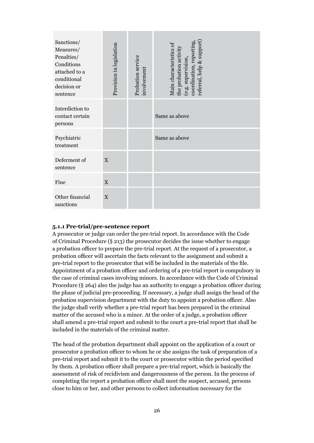| Sanctions/<br>Measures/<br>Penalties/<br>Conditions<br>attached to a<br>conditional<br>decision or<br>sentence | Provision in legislation | Probation service<br>involvement | referral, help & support<br>coordination, reporting<br>Main characteristics of<br>the probation activity<br>(e.g. supervision, |
|----------------------------------------------------------------------------------------------------------------|--------------------------|----------------------------------|--------------------------------------------------------------------------------------------------------------------------------|
| Interdiction to<br>contact certain<br>persons                                                                  |                          |                                  | Same as above                                                                                                                  |
| Psychiatric<br>treatment                                                                                       |                          |                                  | Same as above                                                                                                                  |
| Deferment of<br>sentence                                                                                       | X                        |                                  |                                                                                                                                |
| Fine                                                                                                           | $\mathbf X$              |                                  |                                                                                                                                |
| Other financial<br>sanctions                                                                                   | X                        |                                  |                                                                                                                                |

#### **5.1.1 Pre-trial/pre-sentence report**

A prosecutor or judge can order the pre-trial report. In accordance with the Code of Criminal Procedure (§ 213) the prosecutor decides the issue whether to engage a probation officer to prepare the pre-trial report. At the request of a prosecutor, a probation officer will ascertain the facts relevant to the assignment and submit a pre-trial report to the prosecutor that will be included in the materials of the file. Appointment of a probation officer and ordering of a pre-trial report is compulsory in the case of criminal cases involving minors. In accordance with the Code of Criminal Procedure (§ 264) also the judge has an authority to engage a probation officer during the phase of judicial pre-proceeding. If necessary, a judge shall assign the head of the probation supervision department with the duty to appoint a probation officer. Also the judge shall verify whether a pre-trial report has been prepared in the criminal matter of the accused who is a minor. At the order of a judge, a probation officer shall amend a pre-trial report and submit to the court a pre-trial report that shall be included in the materials of the criminal matter.

The head of the probation department shall appoint on the application of a court or prosecutor a probation officer to whom he or she assigns the task of preparation of a pre-trial report and submit it to the court or prosecutor within the period specified by them. A probation officer shall prepare a pre-trial report, which is basically the assessment of risk of recidivism and dangerousness of the person. In the process of completing the report a probation officer shall meet the suspect, accused, persons close to him or her, and other persons to collect information necessary for the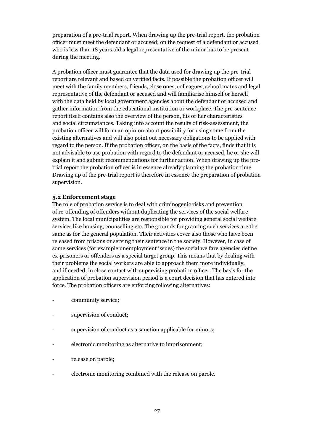preparation of a pre-trial report. When drawing up the pre-trial report, the probation officer must meet the defendant or accused; on the request of a defendant or accused who is less than 18 years old a legal representative of the minor has to be present during the meeting.

A probation officer must guarantee that the data used for drawing up the pre-trial report are relevant and based on verified facts. If possible the probation officer will meet with the family members, friends, close ones, colleagues, school mates and legal representative of the defendant or accused and will familiarise himself or herself with the data held by local government agencies about the defendant or accused and gather information from the educational institution or workplace. The pre-sentence report itself contains also the overview of the person, his or her characteristics and social circumstances. Taking into account the results of risk-assessment, the probation officer will form an opinion about possibility for using some from the existing alternatives and will also point out necessary obligations to be applied with regard to the person. If the probation officer, on the basis of the facts, finds that it is not advisable to use probation with regard to the defendant or accused, he or she will explain it and submit recommendations for further action. When drawing up the pretrial report the probation officer is in essence already planning the probation time. Drawing up of the pre-trial report is therefore in essence the preparation of probation supervision.

#### **5.2 Enforcement stage**

The role of probation service is to deal with criminogenic risks and prevention of re-offending of offenders without duplicating the services of the social welfare system. The local municipalities are responsible for providing general social welfare services like housing, counselling etc. The grounds for granting such services are the same as for the general population. Their activities cover also those who have been released from prisons or serving their sentence in the society. However, in case of some services (for example unemployment issues) the social welfare agencies define ex-prisoners or offenders as a special target group. This means that by dealing with their problems the social workers are able to approach them more individually, and if needed, in close contact with supervising probation officer. The basis for the application of probation supervision period is a court decision that has entered into force. The probation officers are enforcing following alternatives:

- community service;
- supervision of conduct;
- supervision of conduct as a sanction applicable for minors;
- electronic monitoring as alternative to imprisonment;
- release on parole;
- electronic monitoring combined with the release on parole.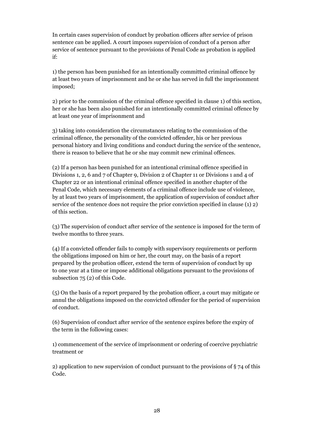In certain cases supervision of conduct by probation officers after service of prison sentence can be applied. A court imposes supervision of conduct of a person after service of sentence pursuant to the provisions of Penal Code as probation is applied if:

1) the person has been punished for an intentionally committed criminal offence by at least two years of imprisonment and he or she has served in full the imprisonment imposed;

2) prior to the commission of the criminal offence specified in clause 1) of this section, her or she has been also punished for an intentionally committed criminal offence by at least one year of imprisonment and

3) taking into consideration the circumstances relating to the commission of the criminal offence, the personality of the convicted offender, his or her previous personal history and living conditions and conduct during the service of the sentence, there is reason to believe that he or she may commit new criminal offences.

(2) If a person has been punished for an intentional criminal offence specified in Divisions 1, 2, 6 and 7 of Chapter 9, Division 2 of Chapter 11 or Divisions 1 and 4 of Chapter 22 or an intentional criminal offence specified in another chapter of the Penal Code, which necessary elements of a criminal offence include use of violence, by at least two years of imprisonment, the application of supervision of conduct after service of the sentence does not require the prior conviction specified in clause (1) 2) of this section.

(3) The supervision of conduct after service of the sentence is imposed for the term of twelve months to three years.

(4) If a convicted offender fails to comply with supervisory requirements or perform the obligations imposed on him or her, the court may, on the basis of a report prepared by the probation officer, extend the term of supervision of conduct by up to one year at a time or impose additional obligations pursuant to the provisions of subsection 75 (2) of this Code.

(5) On the basis of a report prepared by the probation officer, a court may mitigate or annul the obligations imposed on the convicted offender for the period of supervision of conduct.

(6) Supervision of conduct after service of the sentence expires before the expiry of the term in the following cases:

1) commencement of the service of imprisonment or ordering of coercive psychiatric treatment or

2) application to new supervision of conduct pursuant to the provisions of § 74 of this Code.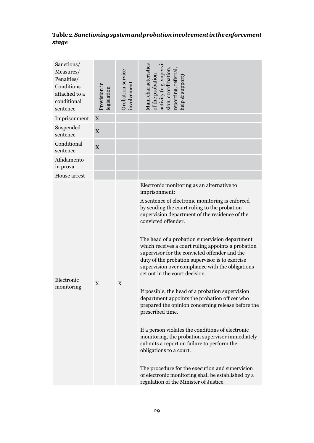## **Table 2***. Sanctioning system and probation involvement in the enforcement stage*

| Sanctions/<br>Measures/<br>Penalties/<br>Conditions<br>attached to a<br>conditional<br>sentence | Provision in<br>legislation | Orobation service<br>involvement | Main characteristics<br>activity (e.g. supervi<br>sion, coordination<br>reporting, referral<br>of the probation<br>help & support                                                                                                                                                                                                                                                                                                                                                                                                                                                                                                                                                                                                                                                                                                                                                                                                                                                                                                                             |
|-------------------------------------------------------------------------------------------------|-----------------------------|----------------------------------|---------------------------------------------------------------------------------------------------------------------------------------------------------------------------------------------------------------------------------------------------------------------------------------------------------------------------------------------------------------------------------------------------------------------------------------------------------------------------------------------------------------------------------------------------------------------------------------------------------------------------------------------------------------------------------------------------------------------------------------------------------------------------------------------------------------------------------------------------------------------------------------------------------------------------------------------------------------------------------------------------------------------------------------------------------------|
| Imprisonment                                                                                    | $\mathbf X$                 |                                  |                                                                                                                                                                                                                                                                                                                                                                                                                                                                                                                                                                                                                                                                                                                                                                                                                                                                                                                                                                                                                                                               |
| Suspended<br>sentence                                                                           | $\mathbf X$                 |                                  |                                                                                                                                                                                                                                                                                                                                                                                                                                                                                                                                                                                                                                                                                                                                                                                                                                                                                                                                                                                                                                                               |
| Conditional<br>sentence                                                                         | $\mathbf X$                 |                                  |                                                                                                                                                                                                                                                                                                                                                                                                                                                                                                                                                                                                                                                                                                                                                                                                                                                                                                                                                                                                                                                               |
| Affidamento<br>in prova                                                                         |                             |                                  |                                                                                                                                                                                                                                                                                                                                                                                                                                                                                                                                                                                                                                                                                                                                                                                                                                                                                                                                                                                                                                                               |
| House arrest                                                                                    |                             |                                  |                                                                                                                                                                                                                                                                                                                                                                                                                                                                                                                                                                                                                                                                                                                                                                                                                                                                                                                                                                                                                                                               |
| Electronic<br>monitoring                                                                        | X                           | $\mathbf X$                      | Electronic monitoring as an alternative to<br>imprisonment:<br>A sentence of electronic monitoring is enforced<br>by sending the court ruling to the probation<br>supervision department of the residence of the<br>convicted offender.<br>The head of a probation supervision department<br>which receives a court ruling appoints a probation<br>supervisor for the convicted offender and the<br>duty of the probation supervisor is to exercise<br>supervision over compliance with the obligations<br>set out in the court decision.<br>If possible, the head of a probation supervision<br>department appoints the probation officer who<br>prepared the opinion concerning release before the<br>prescribed time.<br>If a person violates the conditions of electronic<br>monitoring, the probation supervisor immediately<br>submits a report on failure to perform the<br>obligations to a court.<br>The procedure for the execution and supervision<br>of electronic monitoring shall be established by a<br>regulation of the Minister of Justice. |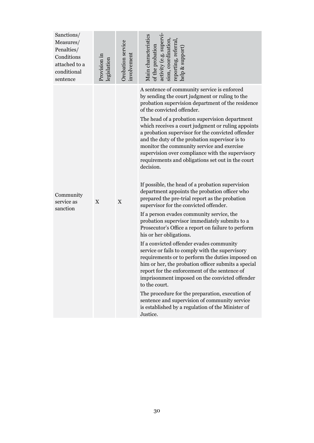| Sanctions/<br>Measures/<br>Penalties/<br>Conditions<br>attached to a<br>conditional<br>sentence | Provision in<br>legislation | Orobation service<br>nvolvement | Main characteristics<br>activity (e.g. supervi<br>sion, coordination<br>reporting, referral<br>of the probation<br>elp & support                                                                                                                                                                                                                                                                                                                                                                                                                                                                                                                                                                                                                                                                                                                                                                                                                                                                                                                                                                                                                                                                                                                                                                                                                                                                                                                       |
|-------------------------------------------------------------------------------------------------|-----------------------------|---------------------------------|--------------------------------------------------------------------------------------------------------------------------------------------------------------------------------------------------------------------------------------------------------------------------------------------------------------------------------------------------------------------------------------------------------------------------------------------------------------------------------------------------------------------------------------------------------------------------------------------------------------------------------------------------------------------------------------------------------------------------------------------------------------------------------------------------------------------------------------------------------------------------------------------------------------------------------------------------------------------------------------------------------------------------------------------------------------------------------------------------------------------------------------------------------------------------------------------------------------------------------------------------------------------------------------------------------------------------------------------------------------------------------------------------------------------------------------------------------|
| Community<br>service as<br>sanction                                                             | $\mathbf X$                 | $\mathbf X$                     | A sentence of community service is enforced<br>by sending the court judgment or ruling to the<br>probation supervision department of the residence<br>of the convicted offender.<br>The head of a probation supervision department<br>which receives a court judgment or ruling appoints<br>a probation supervisor for the convicted offender<br>and the duty of the probation supervisor is to<br>monitor the community service and exercise<br>supervision over compliance with the supervisory<br>requirements and obligations set out in the court<br>decision.<br>If possible, the head of a probation supervision<br>department appoints the probation officer who<br>prepared the pre-trial report as the probation<br>supervisor for the convicted offender.<br>If a person evades community service, the<br>probation supervisor immediately submits to a<br>Prosecutor's Office a report on failure to perform<br>his or her obligations.<br>If a convicted offender evades community<br>service or fails to comply with the supervisory<br>requirements or to perform the duties imposed on<br>him or her, the probation officer submits a special<br>report for the enforcement of the sentence of<br>imprisonment imposed on the convicted offender<br>to the court.<br>The procedure for the preparation, execution of<br>sentence and supervision of community service<br>is established by a regulation of the Minister of<br>Justice. |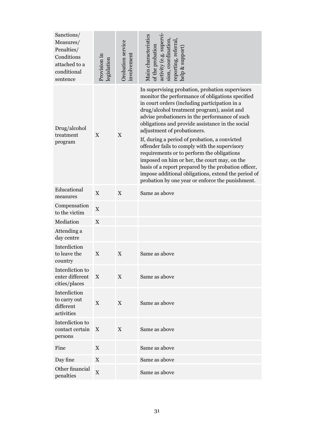| Sanctions/<br>Measures/<br>Penalties/<br>Conditions<br>attached to a<br>conditional<br>sentence | Provision in<br>legislation | Orobation service<br>involvement | Main characteristics<br>activity (e.g. supervi<br>sion, coordination<br>reporting, referral<br>of the probation<br>help & support                                                                                                                                                                                                                                                                                                                                                                                                                                                                                                                                                                           |
|-------------------------------------------------------------------------------------------------|-----------------------------|----------------------------------|-------------------------------------------------------------------------------------------------------------------------------------------------------------------------------------------------------------------------------------------------------------------------------------------------------------------------------------------------------------------------------------------------------------------------------------------------------------------------------------------------------------------------------------------------------------------------------------------------------------------------------------------------------------------------------------------------------------|
| Drug/alcohol<br>treatment<br>program                                                            | X                           | X                                | In supervising probation, probation supervisors<br>monitor the performance of obligations specified<br>in court orders (including participation in a<br>drug/alcohol treatment program), assist and<br>advise probationers in the performance of such<br>obligations and provide assistance in the social<br>adjustment of probationers.<br>If, during a period of probation, a convicted<br>offender fails to comply with the supervisory<br>requirements or to perform the obligations<br>imposed on him or her, the court may, on the<br>basis of a report prepared by the probation officer,<br>impose additional obligations, extend the period of<br>probation by one year or enforce the punishment. |
| Educational<br>measures                                                                         | $\mathbf X$                 | X                                | Same as above                                                                                                                                                                                                                                                                                                                                                                                                                                                                                                                                                                                                                                                                                               |
| Compensation<br>to the victim                                                                   | $\mathbf X$                 |                                  |                                                                                                                                                                                                                                                                                                                                                                                                                                                                                                                                                                                                                                                                                                             |
| Mediation                                                                                       | $\mathbf X$                 |                                  |                                                                                                                                                                                                                                                                                                                                                                                                                                                                                                                                                                                                                                                                                                             |
| Attending a<br>day centre                                                                       |                             |                                  |                                                                                                                                                                                                                                                                                                                                                                                                                                                                                                                                                                                                                                                                                                             |
| Interdiction<br>to leave the<br>country                                                         | $\mathbf X$                 | $\mathbf X$                      | Same as above                                                                                                                                                                                                                                                                                                                                                                                                                                                                                                                                                                                                                                                                                               |
| Interdiction to<br>enter different<br>cities/places                                             | X                           | X                                | Same as above                                                                                                                                                                                                                                                                                                                                                                                                                                                                                                                                                                                                                                                                                               |
| Interdiction<br>to carry out<br>different<br>activities                                         | $\mathbf X$                 | X                                | Same as above                                                                                                                                                                                                                                                                                                                                                                                                                                                                                                                                                                                                                                                                                               |
| Interdiction to<br>contact certain<br>persons                                                   | X                           | X                                | Same as above                                                                                                                                                                                                                                                                                                                                                                                                                                                                                                                                                                                                                                                                                               |
| Fine                                                                                            | X                           |                                  | Same as above                                                                                                                                                                                                                                                                                                                                                                                                                                                                                                                                                                                                                                                                                               |
| Day fine                                                                                        | X                           |                                  | Same as above                                                                                                                                                                                                                                                                                                                                                                                                                                                                                                                                                                                                                                                                                               |
| Other financial<br>penalties                                                                    | $\mathbf X$                 |                                  | Same as above                                                                                                                                                                                                                                                                                                                                                                                                                                                                                                                                                                                                                                                                                               |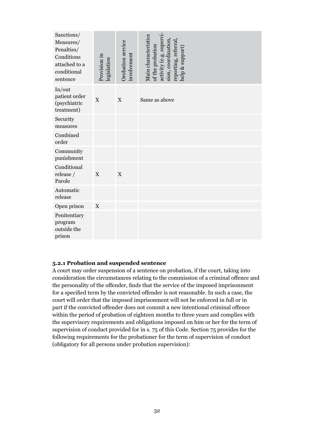| Sanctions/<br>Measures/<br>Penalties/<br>Conditions<br>attached to a<br>conditional<br>sentence | Provision in<br>legislation | Orobation service<br>involvement | activity (e.g. supervi-<br>Main characteristics<br>sion, coordination,<br>reporting, referral<br>of the probation<br>help & support) |
|-------------------------------------------------------------------------------------------------|-----------------------------|----------------------------------|--------------------------------------------------------------------------------------------------------------------------------------|
| In/out<br>patient order<br>(psychiatric<br>treatment)                                           | $\mathbf X$                 | $\mathbf X$                      | Same as above                                                                                                                        |
| Security<br>measures                                                                            |                             |                                  |                                                                                                                                      |
| Combined<br>order                                                                               |                             |                                  |                                                                                                                                      |
| Community<br>punishment                                                                         |                             |                                  |                                                                                                                                      |
| Conditional<br>release /<br>Parole                                                              | $\mathbf X$                 | X                                |                                                                                                                                      |
| Automatic<br>release                                                                            |                             |                                  |                                                                                                                                      |
| Open prison                                                                                     | $\mathbf X$                 |                                  |                                                                                                                                      |
| Penitentiary<br>program<br>outside the<br>prison                                                |                             |                                  |                                                                                                                                      |

#### **5.2.1 Probation and suspended sentence**

A court may order suspension of a sentence on probation, if the court, taking into consideration the circumstances relating to the commission of a criminal offence and the personality of the offender, finds that the service of the imposed imprisonment for a specified term by the convicted offender is not reasonable. In such a case, the court will order that the imposed imprisonment will not be enforced in full or in part if the convicted offender does not commit a new intentional criminal offence within the period of probation of eighteen months to three years and complies with the supervisory requirements and obligations imposed on him or her for the term of supervision of conduct provided for in s. 75 of this Code. Section 75 provides for the following requirements for the probationer for the term of supervision of conduct (obligatory for all persons under probation supervision):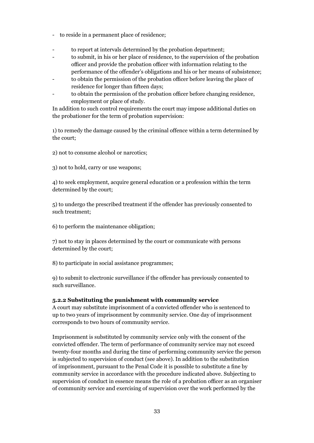- to reside in a permanent place of residence;
- to report at intervals determined by the probation department;
- to submit, in his or her place of residence, to the supervision of the probation officer and provide the probation officer with information relating to the performance of the offender's obligations and his or her means of subsistence;
- to obtain the permission of the probation officer before leaving the place of residence for longer than fifteen days;
- to obtain the permission of the probation officer before changing residence, employment or place of study.

In addition to such control requirements the court may impose additional duties on the probationer for the term of probation supervision:

1) to remedy the damage caused by the criminal offence within a term determined by the court;

2) not to consume alcohol or narcotics;

3) not to hold, carry or use weapons;

4) to seek employment, acquire general education or a profession within the term determined by the court;

5) to undergo the prescribed treatment if the offender has previously consented to such treatment;

6) to perform the maintenance obligation;

7) not to stay in places determined by the court or communicate with persons determined by the court;

8) to participate in social assistance programmes;

9) to submit to electronic surveillance if the offender has previously consented to such surveillance.

#### **5.2.2 Substituting the punishment with community service**

A court may substitute imprisonment of a convicted offender who is sentenced to up to two years of imprisonment by community service. One day of imprisonment corresponds to two hours of community service.

Imprisonment is substituted by community service only with the consent of the convicted offender. The term of performance of community service may not exceed twenty-four months and during the time of performing community service the person is subjected to supervision of conduct (see above). In addition to the substitution of imprisonment, pursuant to the Penal Code it is possible to substitute a fine by community service in accordance with the procedure indicated above. Subjecting to supervision of conduct in essence means the role of a probation officer as an organiser of community service and exercising of supervision over the work performed by the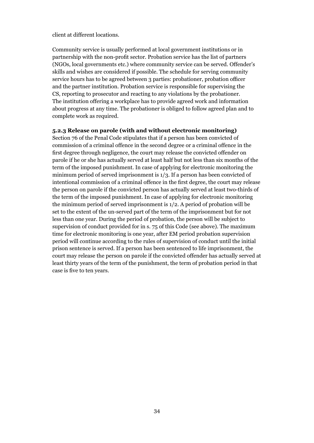client at different locations.

Community service is usually performed at local government institutions or in partnership with the non-profit sector. Probation service has the list of partners (NGOs, local governments etc.) where community service can be served. Offender's skills and wishes are considered if possible. The schedule for serving community service hours has to be agreed between 3 parties: probationer, probation officer and the partner institution. Probation service is responsible for supervising the CS, reporting to prosecutor and reacting to any violations by the probationer. The institution offering a workplace has to provide agreed work and information about progress at any time. The probationer is obliged to follow agreed plan and to complete work as required.

#### **5.2.3 Release on parole (with and without electronic monitoring)**

Section 76 of the Penal Code stipulates that if a person has been convicted of commission of a criminal offence in the second degree or a criminal offence in the first degree through negligence, the court may release the convicted offender on parole if he or she has actually served at least half but not less than six months of the term of the imposed punishment. In case of applying for electronic monitoring the minimum period of served imprisonment is 1/3. If a person has been convicted of intentional commission of a criminal offence in the first degree, the court may release the person on parole if the convicted person has actually served at least two-thirds of the term of the imposed punishment. In case of applying for electronic monitoring the minimum period of served imprisonment is 1/2. A period of probation will be set to the extent of the un-served part of the term of the imprisonment but for not less than one year. During the period of probation, the person will be subject to supervision of conduct provided for in s. 75 of this Code (see above). The maximum time for electronic monitoring is one year, after EM period probation supervision period will continue according to the rules of supervision of conduct until the initial prison sentence is served. If a person has been sentenced to life imprisonment, the court may release the person on parole if the convicted offender has actually served at least thirty years of the term of the punishment, the term of probation period in that case is five to ten years.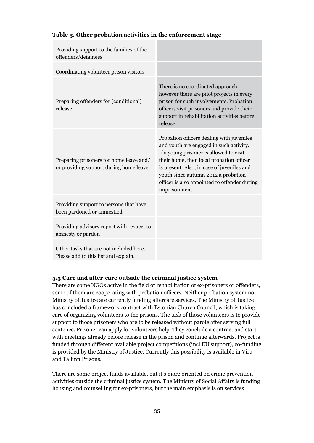| Providing support to the families of the<br>offenders/detainees                   |                                                                                                                                                                                                                                                                                                                                   |
|-----------------------------------------------------------------------------------|-----------------------------------------------------------------------------------------------------------------------------------------------------------------------------------------------------------------------------------------------------------------------------------------------------------------------------------|
| Coordinating volunteer prison visitors                                            |                                                                                                                                                                                                                                                                                                                                   |
| Preparing offenders for (conditional)<br>release                                  | There is no coordinated approach,<br>however there are pilot projects in every<br>prison for such involvements. Probation<br>officers visit prisoners and provide their<br>support in rehabilitation activities before<br>release.                                                                                                |
| Preparing prisoners for home leave and/<br>or providing support during home leave | Probation officers dealing with juveniles<br>and youth are engaged in such activity.<br>If a young prisoner is allowed to visit<br>their home, then local probation officer<br>is present. Also, in case of juveniles and<br>youth since autumn 2012 a probation<br>officer is also appointed to offender during<br>imprisonment. |
| Providing support to persons that have<br>been pardoned or amnestied              |                                                                                                                                                                                                                                                                                                                                   |
| Providing advisory report with respect to<br>amnesty or pardon                    |                                                                                                                                                                                                                                                                                                                                   |
| Other tasks that are not included here.<br>Please add to this list and explain.   |                                                                                                                                                                                                                                                                                                                                   |

#### **Table 3. Other probation activities in the enforcement stage**

#### **5.3 Care and after-care outside the criminal justice system**

There are some NGOs active in the field of rehabilitation of ex-prisoners or offenders, some of them are cooperating with probation officers. Neither probation system nor Ministry of Justice are currently funding aftercare services. The Ministry of Justice has concluded a framework contract with Estonian Church Council, which is taking care of organizing volunteers to the prisons. The task of those volunteers is to provide support to those prisoners who are to be released without parole after serving full sentence. Prisoner can apply for volunteers help. They conclude a contract and start with meetings already before release in the prison and continue afterwards. Project is funded through different available project competitions (incl EU support), co-funding is provided by the Ministry of Justice. Currently this possibility is available in Viru and Tallinn Prisons.

There are some project funds available, but it's more oriented on crime prevention activities outside the criminal justice system. The Ministry of Social Affairs is funding housing and counselling for ex-prisoners, but the main emphasis is on services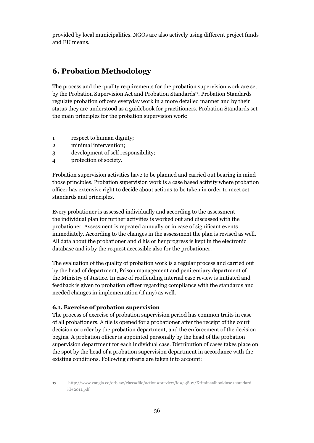provided by local municipalities. NGOs are also actively using different project funds and EU means.

## **6. Probation Methodology**

The process and the quality requirements for the probation supervision work are set by the Probation Supervision Act and Probation Standards<sup>17</sup>. Probation Standards regulate probation officers everyday work in a more detailed manner and by their status they are understood as a guidebook for practitioners. Probation Standards set the main principles for the probation supervision work:

- 1 respect to human dignity;
- 2 minimal intervention;
- 3 development of self responsibility;
- 4 protection of society.

Probation supervision activities have to be planned and carried out bearing in mind those principles. Probation supervision work is a case based activity where probation officer has extensive right to decide about actions to be taken in order to meet set standards and principles.

Every probationer is assessed individually and according to the assessment the individual plan for further activities is worked out and discussed with the probationer. Assessment is repeated annually or in case of significant events immediately. According to the changes in the assessment the plan is revised as well. All data about the probationer and d his or her progress is kept in the electronic database and is by the request accessible also for the probationer.

The evaluation of the quality of probation work is a regular process and carried out by the head of department, Prison management and penitentiary department of the Ministry of Justice. In case of reoffending internal case review is initiated and feedback is given to probation officer regarding compliance with the standards and needed changes in implementation (if any) as well.

#### **6.1. Exercise of probation supervision**

The process of exercise of probation supervision period has common traits in case of all probationers. A file is opened for a probationer after the receipt of the court decision or order by the probation department, and the enforcement of the decision begins. A probation officer is appointed personally by the head of the probation supervision department for each individual case. Distribution of cases takes place on the spot by the head of a probation supervision department in accordance with the existing conditions. Following criteria are taken into account:

<sup>17</sup> http://www.vangla.ee/orb.aw/class=file/action=preview/id=53802/Kriminaalhoolduse+standard id+2011.pdf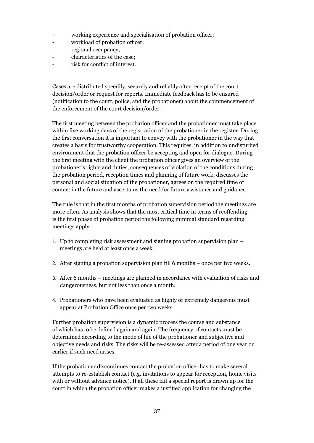- working experience and specialisation of probation officer;
- workload of probation officer;
- regional occupancy;
- characteristics of the case:
- risk for conflict of interest.

Cases are distributed speedily, securely and reliably after receipt of the court decision/order or request for reports. Immediate feedback has to be ensured (notification to the court, police, and the probationer) about the commencement of the enforcement of the court decision/order.

The first meeting between the probation officer and the probationer must take place within five working days of the registration of the probationer in the register. During the first conversation it is important to convey with the probationer in the way that creates a basis for trustworthy cooperation. This requires, in addition to undisturbed environment that the probation officer be accepting and open for dialogue. During the first meeting with the client the probation officer gives an overview of the probationer's rights and duties, consequences of violation of the conditions during the probation period, reception times and planning of future work, discusses the personal and social situation of the probationer, agrees on the required time of contact in the future and ascertains the need for future assistance and guidance.

The rule is that in the first months of probation supervision period the meetings are more often. As analysis shows that the most critical time in terms of reoffending is the first phase of probation period the following minimal standard regarding meetings apply:

- 1. Up to completing risk assessment and signing probation supervision plan meetings are held at least once a week.
- 2. After signing a probation supervision plan till 6 months once per two weeks.
- 3. After 6 months meetings are planned in accordance with evaluation of risks and dangerousness, but not less than once a month.
- 4. Probationers who have been evaluated as highly or extremely dangerous must appear at Probation Office once per two weeks.

Further probation supervision is a dynamic process the course and substance of which has to be defined again and again. The frequency of contacts must be determined according to the mode of life of the probationer and subjective and objective needs and risks. The risks will be re-assessed after a period of one year or earlier if such need arises.

If the probationer discontinues contact the probation officer has to make several attempts to re-establish contact (e.g. invitations to appear for reception, home visits with or without advance notice). If all these fail a special report is drawn up for the court in which the probation officer makes a justified application for changing the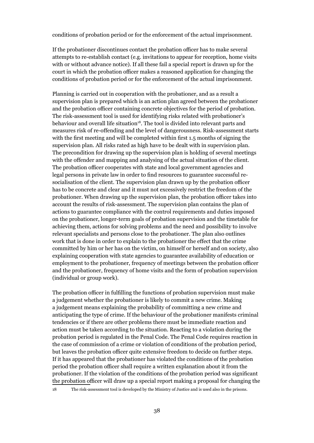conditions of probation period or for the enforcement of the actual imprisonment.

If the probationer discontinues contact the probation officer has to make several attempts to re-establish contact (e.g. invitations to appear for reception, home visits with or without advance notice). If all these fail a special report is drawn up for the court in which the probation officer makes a reasoned application for changing the conditions of probation period or for the enforcement of the actual imprisonment.

Planning is carried out in cooperation with the probationer, and as a result a supervision plan is prepared which is an action plan agreed between the probationer and the probation officer containing concrete objectives for the period of probation. The risk-assessment tool is used for identifying risks related with probationer's behaviour and overall life situation<sup>18</sup>. The tool is divided into relevant parts and measures risk of re-offending and the level of dangerousness. Risk-assessment starts with the first meeting and will be completed within first 1.5 months of signing the supervision plan. All risks rated as high have to be dealt with in supervision plan. The precondition for drawing up the supervision plan is holding of several meetings with the offender and mapping and analysing of the actual situation of the client. The probation officer cooperates with state and local government agencies and legal persons in private law in order to find resources to guarantee successful resocialisation of the client. The supervision plan drawn up by the probation officer has to be concrete and clear and it must not excessively restrict the freedom of the probationer. When drawing up the supervision plan, the probation officer takes into account the results of risk-assessment. The supervision plan contains the plan of actions to guarantee compliance with the control requirements and duties imposed on the probationer, longer-term goals of probation supervision and the timetable for achieving them, actions for solving problems and the need and possibility to involve relevant specialists and persons close to the probationer. The plan also outlines work that is done in order to explain to the probationer the effect that the crime committed by him or her has on the victim, on himself or herself and on society, also explaining cooperation with state agencies to guarantee availability of education or employment to the probationer, frequency of meetings between the probation officer and the probationer, frequency of home visits and the form of probation supervision (individual or group work).

The probation officer in fulfilling the functions of probation supervision must make a judgement whether the probationer is likely to commit a new crime. Making a judgement means explaining the probability of committing a new crime and anticipating the type of crime. If the behaviour of the probationer manifests criminal tendencies or if there are other problems there must be immediate reaction and action must be taken according to the situation. Reacting to a violation during the probation period is regulated in the Penal Code. The Penal Code requires reaction in the case of commission of a crime or violation of conditions of the probation period, but leaves the probation officer quite extensive freedom to decide on further steps. If it has appeared that the probationer has violated the conditions of the probation period the probation officer shall require a written explanation about it from the probationer. If the violation of the conditions of the probation period was significant the probation officer will draw up a special report making a proposal for changing the

18 The risk-assessment tool is developed by the Ministry of Justice and is used also in the prisons.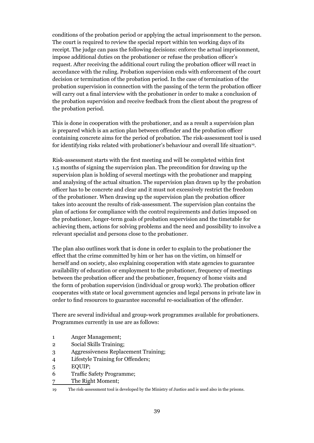conditions of the probation period or applying the actual imprisonment to the person. The court is required to review the special report within ten working days of its receipt. The judge can pass the following decisions: enforce the actual imprisonment, impose additional duties on the probationer or refuse the probation officer's request. After receiving the additional court ruling the probation officer will react in accordance with the ruling. Probation supervision ends with enforcement of the court decision or termination of the probation period. In the case of termination of the probation supervision in connection with the passing of the term the probation officer will carry out a final interview with the probationer in order to make a conclusion of the probation supervision and receive feedback from the client about the progress of the probation period.

This is done in cooperation with the probationer, and as a result a supervision plan is prepared which is an action plan between offender and the probation officer containing concrete aims for the period of probation. The risk-assessment tool is used for identifying risks related with probationer's behaviour and overall life situation<sup>19</sup>.

Risk-assessment starts with the first meeting and will be completed within first 1.5 months of signing the supervision plan. The precondition for drawing up the supervision plan is holding of several meetings with the probationer and mapping and analysing of the actual situation. The supervision plan drawn up by the probation officer has to be concrete and clear and it must not excessively restrict the freedom of the probationer. When drawing up the supervision plan the probation officer takes into account the results of risk-assessment. The supervision plan contains the plan of actions for compliance with the control requirements and duties imposed on the probationer, longer-term goals of probation supervision and the timetable for achieving them, actions for solving problems and the need and possibility to involve a relevant specialist and persons close to the probationer.

The plan also outlines work that is done in order to explain to the probationer the effect that the crime committed by him or her has on the victim, on himself or herself and on society, also explaining cooperation with state agencies to guarantee availability of education or employment to the probationer, frequency of meetings between the probation officer and the probationer, frequency of home visits and the form of probation supervision (individual or group work). The probation officer cooperates with state or local government agencies and legal persons in private law in order to find resources to guarantee successful re-socialisation of the offender.

There are several individual and group-work programmes available for probationers. Programmes currently in use are as follows:

- 1 Anger Management;
- 2 Social Skills Training;
- 3 Aggressiveness Replacement Training;
- 4 Lifestyle Training for Offenders;
- 5 EQUIP;
- 6 Traffic Safety Programme;
- 7 The Right Moment;
- 19 The risk-assessment tool is developed by the Ministry of Justice and is used also in the prisons.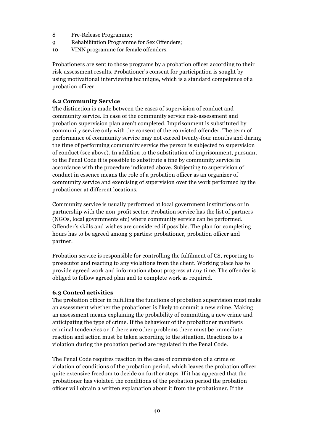- 8 Pre-Release Programme;
- 9 Rehabilitation Programme for Sex Offenders;
- 10 VINN programme for female offenders.

Probationers are sent to those programs by a probation officer according to their risk-assessment results. Probationer's consent for participation is sought by using motivational interviewing technique, which is a standard competence of a probation officer.

#### **6.2 Community Service**

The distinction is made between the cases of supervision of conduct and community service. In case of the community service risk-assessment and probation supervision plan aren't completed. Imprisonment is substituted by community service only with the consent of the convicted offender. The term of performance of community service may not exceed twenty-four months and during the time of performing community service the person is subjected to supervision of conduct (see above). In addition to the substitution of imprisonment, pursuant to the Penal Code it is possible to substitute a fine by community service in accordance with the procedure indicated above. Subjecting to supervision of conduct in essence means the role of a probation officer as an organizer of community service and exercising of supervision over the work performed by the probationer at different locations.

Community service is usually performed at local government institutions or in partnership with the non-profit sector. Probation service has the list of partners (NGOs, local governments etc) where community service can be performed. Offender's skills and wishes are considered if possible. The plan for completing hours has to be agreed among 3 parties: probationer, probation officer and partner.

Probation service is responsible for controlling the fulfilment of CS, reporting to prosecutor and reacting to any violations from the client. Working place has to provide agreed work and information about progress at any time. The offender is obliged to follow agreed plan and to complete work as required.

#### **6.3 Control activities**

The probation officer in fulfilling the functions of probation supervision must make an assessment whether the probationer is likely to commit a new crime. Making an assessment means explaining the probability of committing a new crime and anticipating the type of crime. If the behaviour of the probationer manifests criminal tendencies or if there are other problems there must be immediate reaction and action must be taken according to the situation. Reactions to a violation during the probation period are regulated in the Penal Code.

The Penal Code requires reaction in the case of commission of a crime or violation of conditions of the probation period, which leaves the probation officer quite extensive freedom to decide on further steps. If it has appeared that the probationer has violated the conditions of the probation period the probation officer will obtain a written explanation about it from the probationer. If the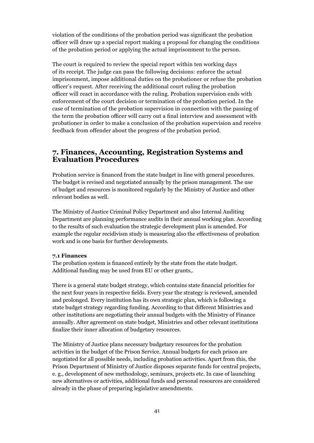violation of the conditions of the probation period was significant the probation officer will draw up a special report making a proposal for changing the conditions of the probation period or applying the actual imprisonment to the person.

The court is required to review the special report within ten working days of its receipt. The judge can pass the following decisions: enforce the actual imprisonment, impose additional duties on the probationer or refuse the probation officer's request. After receiving the additional court ruling the probation officer will react in accordance with the ruling. Probation supervision ends with enforcement of the court decision or termination of the probation period. In the case of termination of the probation supervision in connection with the passing of the term the probation officer will carry out a final interview and assessment with probationer in order to make a conclusion of the probation supervision and receive feedback from offender about the progress of the probation period.

## **7. Finances, Accounting, Registration Systems and Evaluation Procedures**

Probation service is financed from the state budget in line with general procedures. The budget is revised and negotiated annually by the prison management. The use of budget and resources is monitored regularly by the Ministry of Justice and other relevant bodies as well.

The Ministry of Justice Criminal Policy Department and also Internal Auditing Department are planning performance audits in their annual working plan. According to the results of such evaluation the strategic development plan is amended. For example the regular recidivism study is measuring also the effectiveness of probation work and is one basis for further developments*.* 

#### **7.1 Finances**

The probation system is financed entirely by the state from the state budget. Additional funding may be used from EU or other grants,.

There is a general state budget strategy, which contains state financial priorities for the next four years in respective fields. Every year the strategy is reviewed, amended and prolonged. Every institution has its own strategic plan, which is following a state budget strategy regarding funding. According to that different Ministries and other institutions are negotiating their annual budgets with the Ministry of Finance annually. After agreement on state budget, Ministries and other relevant institutions finalize their inner allocation of budgetary resources.

The Ministry of Justice plans necessary budgetary resources for the probation activities in the budget of the Prison Service. Annual budgets for each prison are negotiated for all possible needs, including probation activities. Apart from this, the Prison Department of Ministry of Justice disposes separate funds for central projects, e. g., development of new methodology, seminars, projects etc. In case of launching new alternatives or activities, additional funds and personal resources are considered already in the phase of preparing legislative amendments.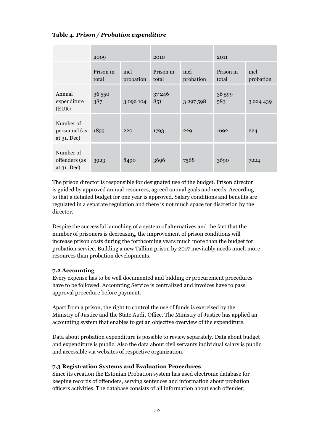#### **Table 4***. Prison / Probation expenditure*

|                                                          | 2009               |                   | 2010               |                   | 2011               |                   |
|----------------------------------------------------------|--------------------|-------------------|--------------------|-------------------|--------------------|-------------------|
|                                                          | Prison in<br>total | incl<br>probation | Prison in<br>total | incl<br>probation | Prison in<br>total | incl<br>probation |
| Annual<br>expenditure<br>(EUR)                           | 36 550<br>387      | 3 0 9 2 1 0 4     | 37 24 6<br>851     | 3 297 598         | 36 599<br>583      | 3 2 2 4 4 3 9     |
| Number of<br>personnel (as<br>at $31.$ Dec) <sup>1</sup> | 1855               | 220               | 1793               | 229               | 1692               | 224               |
| Number of<br>offenders (as<br>at 31. Dec)                | 3923               | 8490              | 3696               | 7568              | 3690               | 7224              |

The prison director is responsible for designated use of the budget. Prison director is guided by approved annual resources, agreed annual goals and needs. According to that a detailed budget for one year is approved. Salary conditions and benefits are regulated in a separate regulation and there is not much space for discretion by the director.

Despite the successful launching of a system of alternatives and the fact that the number of prisoners is decreasing, the improvement of prison conditions will increase prison costs during the forthcoming years much more than the budget for probation service. Building a new Tallinn prison by 2017 inevitably needs much more resources than probation developments.

#### **7.2 Accounting**

Every expense has to be well documented and bidding or procurement procedures have to be followed. Accounting Service is centralized and invoices have to pass approval procedure before payment.

Apart from a prison, the right to control the use of funds is exercised by the Ministry of Justice and the State Audit Office. The Ministry of Justice has applied an accounting system that enables to get an objective overview of the expenditure.

Data about probation expenditure is possible to review separately. Data about budget and expenditure is public. Also the data about civil servants individual salary is public and accessible via websites of respective organization.

#### **7.3 Registration Systems and Evaluation Procedures**

Since its creation the Estonian Probation system has used electronic database for keeping records of offenders, serving sentences and information about probation officers activities. The database consists of all information about each offender;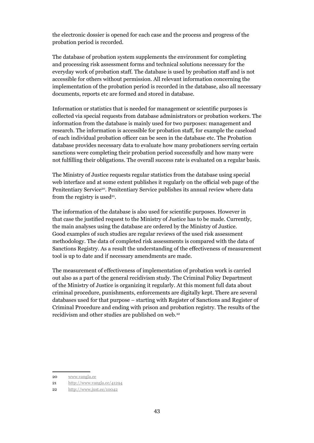the electronic dossier is opened for each case and the process and progress of the probation period is recorded.

The database of probation system supplements the environment for completing and processing risk assessment forms and technical solutions necessary for the everyday work of probation staff. The database is used by probation staff and is not accessible for others without permission. All relevant information concerning the implementation of the probation period is recorded in the database, also all necessary documents, reports etc are formed and stored in database.

Information or statistics that is needed for management or scientific purposes is collected via special requests from database administrators or probation workers. The information from the database is mainly used for two purposes: management and research. The information is accessible for probation staff, for example the caseload of each individual probation officer can be seen in the database etc. The Probation database provides necessary data to evaluate how many probationers serving certain sanctions were completing their probation period successfully and how many were not fulfilling their obligations. The overall success rate is evaluated on a regular basis.

The Ministry of Justice requests regular statistics from the database using special web interface and at some extent publishes it regularly on the official web page of the Penitentiary Service<sup>20</sup>. Penitentiary Service publishes its annual review where data from the registry is used<sup>21</sup>.

The information of the database is also used for scientific purposes. However in that case the justified request to the Ministry of Justice has to be made. Currently, the main analyses using the database are ordered by the Ministry of Justice. Good examples of such studies are regular reviews of the used risk assessment methodology. The data of completed risk assessments is compared with the data of Sanctions Registry. As a result the understanding of the effectiveness of measurement tool is up to date and if necessary amendments are made.

The measurement of effectiveness of implementation of probation work is carried out also as a part of the general recidivism study. The Criminal Policy Department of the Ministry of Justice is organizing it regularly. At this moment full data about criminal procedure, punishments, enforcements are digitally kept. There are several databases used for that purpose – starting with Register of Sanctions and Register of Criminal Procedure and ending with prison and probation registry. The results of the recidivism and other studies are published on web.22

<sup>20</sup> www.vangla.ee

<sup>21</sup> http://www.vangla.ee/41294

<sup>22</sup> http://www.just.ee/10042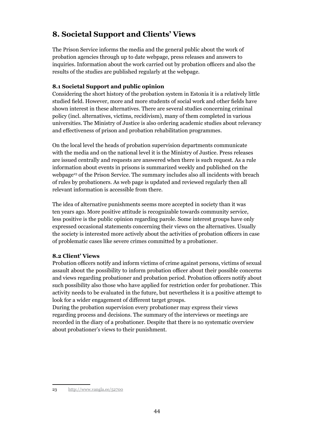## **8. Societal Support and Clients' Views**

The Prison Service informs the media and the general public about the work of probation agencies through up to date webpage, press releases and answers to inquiries. Information about the work carried out by probation officers and also the results of the studies are published regularly at the webpage*.*

#### **8.1 Societal Support and public opinion**

Considering the short history of the probation system in Estonia it is a relatively little studied field. However, more and more students of social work and other fields have shown interest in these alternatives. There are several studies concerning criminal policy (incl. alternatives, victims, recidivism), many of them completed in various universities. The Ministry of Justice is also ordering academic studies about relevancy and effectiveness of prison and probation rehabilitation programmes.

On the local level the heads of probation supervision departments communicate with the media and on the national level it is the Ministry of Justice. Press releases are issued centrally and requests are answered when there is such request. As a rule information about events in prisons is summarized weekly and published on the webpage<sup>23</sup> of the Prison Service. The summary includes also all incidents with breach of rules by probationers. As web page is updated and reviewed regularly then all relevant information is accessible from there.

The idea of alternative punishments seems more accepted in society than it was ten years ago. More positive attitude is recognizable towards community service, less positive is the public opinion regarding parole. Some interest groups have only expressed occasional statements concerning their views on the alternatives. Usually the society is interested more actively about the activities of probation officers in case of problematic cases like severe crimes committed by a probationer.

#### **8.2 Client' Views**

Probation officers notify and inform victims of crime against persons, victims of sexual assault about the possibility to inform probation officer about their possible concerns and views regarding probationer and probation period. Probation officers notify about such possibility also those who have applied for restriction order for probationer. This activity needs to be evaluated in the future, but nevertheless it is a positive attempt to look for a wider engagement of different target groups.

During the probation supervision every probationer may express their views regarding process and decisions. The summary of the interviews or meetings are recorded in the diary of a probationer. Despite that there is no systematic overview about probationer's views to their punishment.

<sup>23</sup> http://www.vangla.ee/52700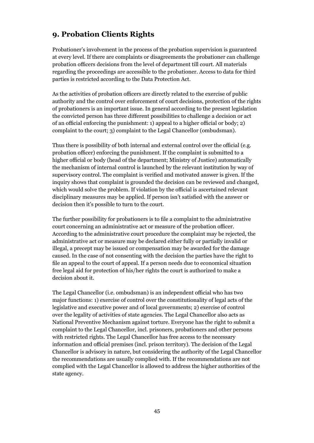## **9. Probation Clients Rights**

Probationer's involvement in the process of the probation supervision is guaranteed at every level. If there are complaints or disagreements the probationer can challenge probation officers decisions from the level of department till court. All materials regarding the proceedings are accessible to the probationer. Access to data for third parties is restricted according to the Data Protection Act.

As the activities of probation officers are directly related to the exercise of public authority and the control over enforcement of court decisions, protection of the rights of probationers is an important issue. In general according to the present legislation the convicted person has three different possibilities to challenge a decision or act of an official enforcing the punishment: 1) appeal to a higher official or body; 2) complaint to the court; 3) complaint to the Legal Chancellor (ombudsman).

Thus there is possibility of both internal and external control over the official (e.g. probation officer) enforcing the punishment. If the complaint is submitted to a higher official or body (head of the department; Ministry of Justice) automatically the mechanism of internal control is launched by the relevant institution by way of supervisory control. The complaint is verified and motivated answer is given. If the inquiry shows that complaint is grounded the decision can be reviewed and changed, which would solve the problem. If violation by the official is ascertained relevant disciplinary measures may be applied. If person isn't satisfied with the answer or decision then it's possible to turn to the court.

The further possibility for probationers is to file a complaint to the administrative court concerning an administrative act or measure of the probation officer. According to the administrative court procedure the complaint may be rejected, the administrative act or measure may be declared either fully or partially invalid or illegal, a precept may be issued or compensation may be awarded for the damage caused. In the case of not consenting with the decision the parties have the right to file an appeal to the court of appeal. If a person needs due to economical situation free legal aid for protection of his/her rights the court is authorized to make a decision about it.

The Legal Chancellor (i.e. ombudsman) is an independent official who has two major functions: 1) exercise of control over the constitutionality of legal acts of the legislative and executive power and of local governments; 2) exercise of control over the legality of activities of state agencies. The Legal Chancellor also acts as National Preventive Mechanism against torture. Everyone has the right to submit a complaint to the Legal Chancellor, incl. prisoners, probationers and other persons with restricted rights. The Legal Chancellor has free access to the necessary information and official premises (incl. prison territory). The decision of the Legal Chancellor is advisory in nature, but considering the authority of the Legal Chancellor the recommendations are usually complied with. If the recommendations are not complied with the Legal Chancellor is allowed to address the higher authorities of the state agency.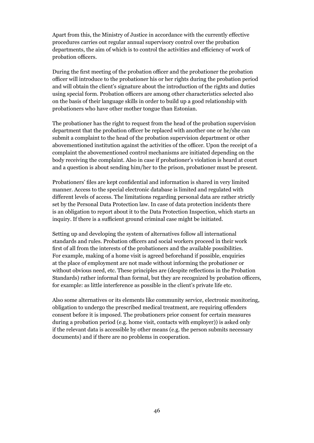Apart from this, the Ministry of Justice in accordance with the currently effective procedures carries out regular annual supervisory control over the probation departments, the aim of which is to control the activities and efficiency of work of probation officers.

During the first meeting of the probation officer and the probationer the probation officer will introduce to the probationer his or her rights during the probation period and will obtain the client's signature about the introduction of the rights and duties using special form. Probation officers are among other characteristics selected also on the basis of their language skills in order to build up a good relationship with probationers who have other mother tongue than Estonian.

The probationer has the right to request from the head of the probation supervision department that the probation officer be replaced with another one or he/she can submit a complaint to the head of the probation supervision department or other abovementioned institution against the activities of the officer. Upon the receipt of a complaint the abovementioned control mechanisms are initiated depending on the body receiving the complaint. Also in case if probationer's violation is heard at court and a question is about sending him/her to the prison, probationer must be present.

Probationers' files are kept confidential and information is shared in very limited manner. Access to the special electronic database is limited and regulated with different levels of access. The limitations regarding personal data are rather strictly set by the Personal Data Protection law. In case of data protection incidents there is an obligation to report about it to the Data Protection Inspection, which starts an inquiry. If there is a sufficient ground criminal case might be initiated.

Setting up and developing the system of alternatives follow all international standards and rules. Probation officers and social workers proceed in their work first of all from the interests of the probationers and the available possibilities. For example, making of a home visit is agreed beforehand if possible, enquiries at the place of employment are not made without informing the probationer or without obvious need, etc. These principles are (despite reflections in the Probation Standards) rather informal than formal, but they are recognized by probation officers, for example: as little interference as possible in the client's private life etc.

Also some alternatives or its elements like community service, electronic monitoring, obligation to undergo the prescribed medical treatment, are requiring offenders consent before it is imposed. The probationers prior consent for certain measures during a probation period (e.g. home visit, contacts with employer)) is asked only if the relevant data is accessible by other means (e.g. the person submits necessary documents) and if there are no problems in cooperation.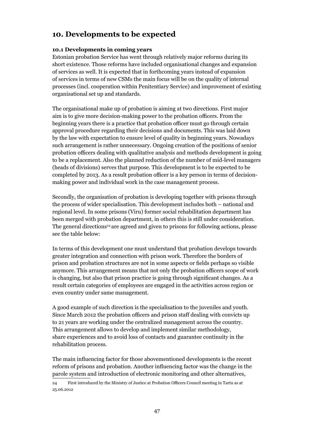## **10. Developments to be expected**

#### **10.1 Developments in coming years**

Estonian probation Service has went through relatively major reforms during its short existence. Those reforms have included organisational changes and expansion of services as well. It is expected that in forthcoming years instead of expansion of services in terms of new CSMs the main focus will be on the quality of internal processes (incl. cooperation within Penitentiary Service) and improvement of existing organisational set up and standards.

The organisational make up of probation is aiming at two directions. First major aim is to give more decision-making power to the probation officers. From the beginning years there is a practice that probation officer must go through certain approval procedure regarding their decisions and documents. This was laid down by the law with expectation to ensure level of quality in beginning years. Nowadays such arrangement is rather unnecessary. Ongoing creation of the positions of senior probation officers dealing with qualitative analysis and methods development is going to be a replacement. Also the planned reduction of the number of mid-level managers (heads of divisions) serves that purpose. This development is to be expected to be completed by 2013. As a result probation officer is a key person in terms of decisionmaking power and individual work in the case management process.

Secondly, the organisation of probation is developing together with prisons through the process of wider specialisation. This development includes both – national and regional level. In some prisons (Viru) former social rehabilitation department has been merged with probation department, in others this is still under consideration. The general directions<sup>24</sup> are agreed and given to prisons for following actions, please see the table below:

In terms of this development one must understand that probation develops towards greater integration and connection with prison work. Therefore the borders of prison and probation structures are not in some aspects or fields perhaps so visible anymore. This arrangement means that not only the probation officers scope of work is changing, but also that prison practice is going through significant changes. As a result certain categories of employees are engaged in the activities across region or even country under same management.

A good example of such direction is the specialisation to the juveniles and youth. Since March 2012 the probation officers and prison staff dealing with convicts up to 21 years are working under the centralized management across the country. This arrangement allows to develop and implement similar methodology, share experiences and to avoid loss of contacts and guarantee continuity in the rehabilitation process.

The main influencing factor for those abovementioned developments is the recent reform of prisons and probation. Another influencing factor was the change in the parole system and introduction of electronic monitoring and other alternatives,

<sup>24</sup> First introduced by the Ministry of Justice at Probation Officers Council meeting in Tartu as at 25.06.2012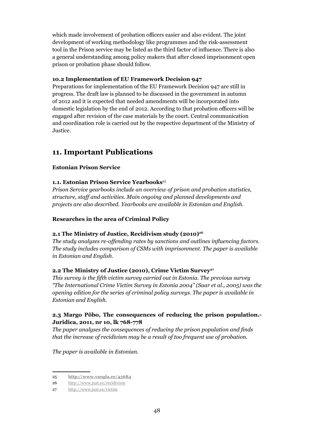which made involvement of probation officers easier and also evident. The joint development of working methodology like programmes and the risk-assessment tool in the Prison service may be listed as the third factor of influence. There is also a general understanding among policy makers that after closed imprisonment open prison or probation phase should follow.

#### **10.2 Implementation of EU Framework Decision 947**

Preparations for implementation of the EU Framework Decision 947 are still in progress. The draft law is planned to be discussed in the government in autumn of 2012 and it is expected that needed amendments will be incorporated into domestic legislation by the end of 2012. According to that probation officers will be engaged after revision of the case materials by the court. Central communication and coordination role is carried out by the respective department of the Ministry of Justice.

## **11. Important Publications**

#### **Estonian Prison Service**

#### **1.1. Estonian Prison Service Yearbooks**<sup>25</sup>

*Prison Service yearbooks include an overview of prison and probation statistics, structure, staff and activities. Main ongoing and planned developments and projects are also described. Yearbooks are available in Estonian and English.*

#### **Researches in the area of Criminal Policy**

#### 2.1 The Ministry of Justice, Recidivism study (2010)<sup>26</sup>

*The study analyzes re-offending rates by sanctions and outlines influencing factors. The study includes comparison of CSMs with imprisonment. The paper is available in Estonian and English.*

#### **2.2 The Ministry of Justice (2010), Crime Victim Survey27**

*This survey is the fifth victim survey carried out in Estonia. The previous survey "The International Crime Victim Survey in Estonia 2004" (Saar et al., 2005) was the opening edition for the series of criminal policy surveys. The paper is available in Estonian and English.*

#### **2.3 Margo Põbo, The consequences of reducing the prison population.- Juridica, 2011, nr 10, lk 768-778**

*The paper analyses the consequences of reducing the prison population and finds that the increase of recidivism may be a result of too frequent use of probation.*

*The paper is available in Estonian.*

<sup>25</sup> **http://www.vangla.ee/43684**

<sup>26</sup> http://www.just.ee/recidivism

<sup>27</sup> http://www.just.ee/victim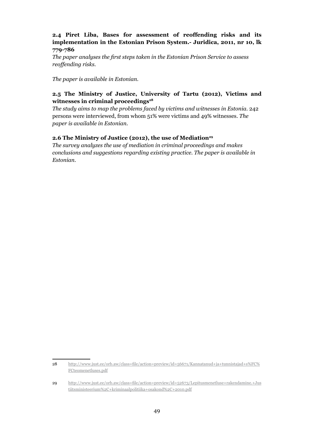#### **2.4 Piret Liba, Bases for assessment of reoffending risks and its implementation in the Estonian Prison System.- Juridica, 2011, nr 10, lk 779-786**

*The paper analyses the first steps taken in the Estonian Prison Service to assess reoffending risks.*

*The paper is available in Estonian.*

#### **2.5 The Ministry of Justice, University of Tartu (2012), Victims and**  witnesses in criminal proceedings<sup>28</sup>

*The study aims to map the problems faced by victims and witnesses in Estonia.* 242 persons were interviewed, from whom 51% were victims and 49% witnesses. *The paper is available in Estonian.*

#### 2.6 The Ministry of Justice (2012), the use of Mediation<sup>29</sup>

*The survey analyzes the use of mediation in criminal proceedings and makes conclusions and suggestions regarding existing practice. The paper is available in Estonian.*

<sup>28</sup> http://www.just.ee/orb.aw/class=file/action=preview/id=56671/Kannatanud+ja+tunnistajad+s%FC% FCteomenetluses.pdf

<sup>29</sup> http://www.just.ee/orb.aw/class=file/action=preview/id=52673/Lepitusmenetluse+rakendamine.+Jus tiitsministeerium%2C+kriminaalpolitiika+osakond%2C+2010.pdf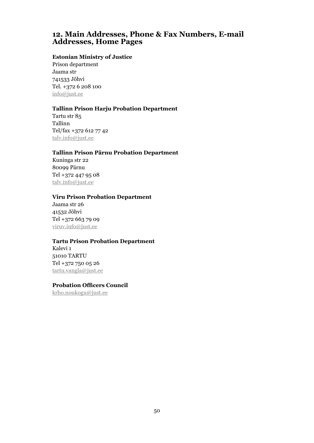## **12. Main Addresses, Phone & Fax Numbers, E-mail Addresses, Home Pages**

#### **Estonian Ministry of Justice**

Prison department Jaama str 741533 Jõhvi Tel. +372 6 208 100 info@just.ee

#### **Tallinn Prison Harju Probation Department**

Tartu str 85 Tallinn Tel/fax +372 612 77 42 talv.info@just.ee

#### **Tallinn Prison Pärnu Probation Department**

Kuninga str 22 80099 Pärnu Tel +372 447 95 08 talv.info@just.ee

#### **Viru Prison Probation Department**

Jaama str 26 41532 Jõhvi Tel +372 663 79 09 viruv.info@just.ee

#### **Tartu Prison Probation Department**

Kalevi 1 51010 TARTU Tel +372 750 05 26 tartu.vangla@just.ee

#### **Probation Officers Council**

krho.noukogu@just.ee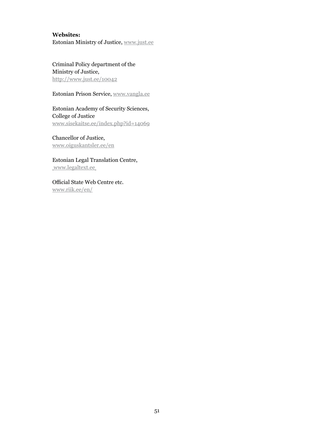#### **Websites:**

Estonian Ministry of Justice, www.just.ee

Criminal Policy department of the Ministry of Justice, http://www.just.ee/10042

Estonian Prison Service, www.vangla.ee

Estonian Academy of Security Sciences, College of Justice www.sisekaitse.ee/index.php?id=14069

Chancellor of Justice, www.oiguskantsler.ee/en

Estonian Legal Translation Centre, www.legaltext.ee

Official State Web Centre etc. www.riik.ee/en/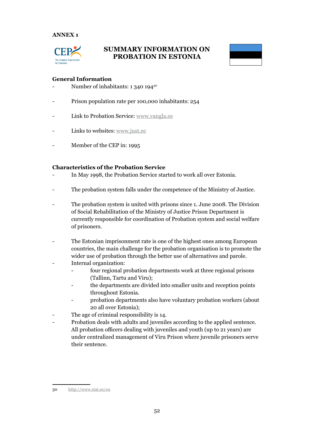#### **ANNEX 1**



## **SUMMARY INFORMATION ON PROBATION IN ESTONIA**



#### **General Information**

- Number of inhabitants: 1 340 194<sup>30</sup>
- Prison population rate per 100,000 inhabitants: 254
- Link to Probation Service: www.vangla.ee
- Links to websites: www.just.ee
- Member of the CEP in: 1995

#### **Characteristics of the Probation Service**

- In May 1998, the Probation Service started to work all over Estonia.
- The probation system falls under the competence of the Ministry of Justice.
- The probation system is united with prisons since 1. June 2008. The Division of Social Rehabilitation of the Ministry of Justice Prison Department is currently responsible for coordination of Probation system and social welfare of prisoners.
- The Estonian imprisonment rate is one of the highest ones among European countries, the main challenge for the probation organisation is to promote the wider use of probation through the better use of alternatives and parole.
- Internal organization:
	- four regional probation departments work at three regional prisons (Tallinn, Tartu and Viru);
	- the departments are divided into smaller units and reception points throughout Estonia.
	- probation departments also have voluntary probation workers (about 20 all over Estonia);
- The age of criminal responsibility is 14.
- Probation deals with adults and juveniles according to the applied sentence. All probation officers dealing with juveniles and youth (up to 21 years) are under centralized management of Viru Prison where juvenile prisoners serve their sentence.

<sup>30</sup> http://www.stat.ee/en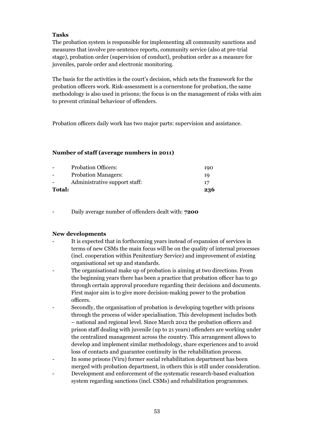#### **Tasks**

The probation system is responsible for implementing all community sanctions and measures that involve pre-sentence reports, community service (also at pre-trial stage), probation order (supervision of conduct), probation order as a measure for juveniles, parole order and electronic monitoring.

The basis for the activities is the court's decision, which sets the framework for the probation officers work. Risk-assessment is a cornerstone for probation, the same methodology is also used in prisons; the focus is on the management of risks with aim to prevent criminal behaviour of offenders.

Probation officers daily work has two major parts: supervision and assistance.

#### **Number of staff (average numbers in 2011)**

|               | <b>Probation Officers:</b>    | 190 |
|---------------|-------------------------------|-----|
|               | <b>Probation Managers:</b>    | 19  |
|               | Administrative support staff: | 17  |
| <b>Total:</b> |                               | 236 |

- Daily average number of offenders dealt with: **7200**

#### **New developments**

- It is expected that in forthcoming years instead of expansion of services in terms of new CSMs the main focus will be on the quality of internal processes (incl. cooperation within Penitentiary Service) and improvement of existing organisational set up and standards.
- The organisational make up of probation is aiming at two directions. From the beginning years there has been a practice that probation officer has to go through certain approval procedure regarding their decisions and documents. First major aim is to give more decision-making power to the probation officers.
- Secondly, the organisation of probation is developing together with prisons through the process of wider specialisation. This development includes both – national and regional level. Since March 2012 the probation officers and prison staff dealing with juvenile (up to 21 years) offenders are working under the centralized management across the country. This arrangement allows to develop and implement similar methodology, share experiences and to avoid loss of contacts and guarantee continuity in the rehabilitation process.
- In some prisons (Viru) former social rehabilitation department has been merged with probation department, in others this is still under consideration.
- Development and enforcement of the systematic research-based evaluation system regarding sanctions (incl. CSMs) and rehabilitation programmes.